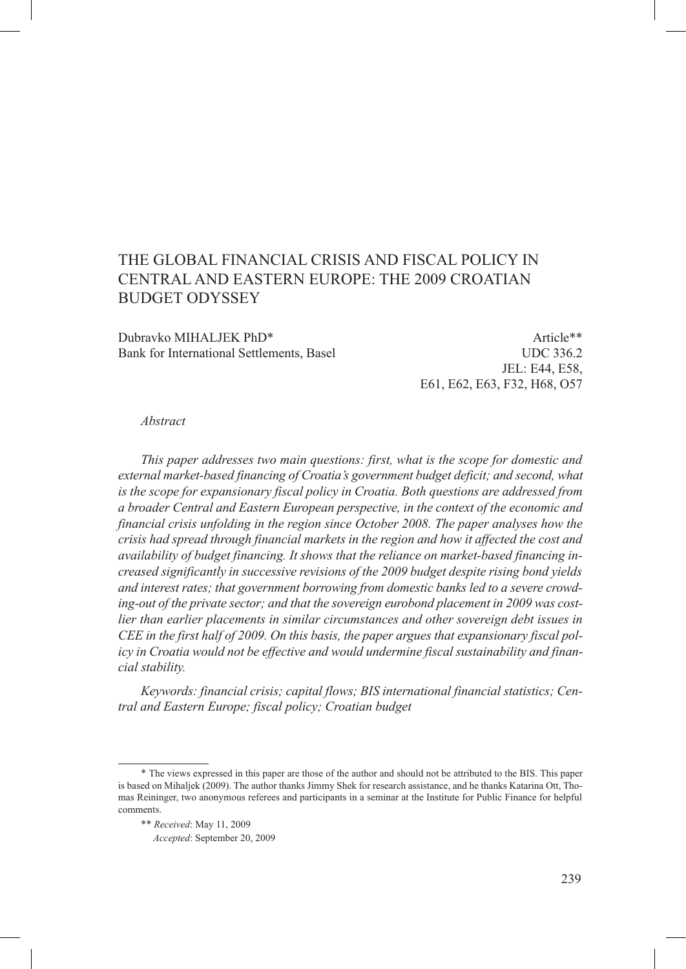# The global financial crisis and fiscal policy in Central and Eastern Europe: the 2009 Croatian **BUDGET ODYSSEY**

Dubravko MIHALJEK PhD\* Article\*\* Bank for International Settlements, Basel UDC 336.2

JEL: E44, E58, E61, E62, E63, F32, H68, O57

#### *Abstract*

*This paper addresses two main questions: first, what is the scope for domestic and external market-based financing of Croatia's government budget deficit; and second, what is the scope for expansionary fiscal policy in Croatia. Both questions are addressed from a broader Central and Eastern European perspective, in the context of the economic and financial crisis unfolding in the region since October 2008. The paper analyses how the crisis had spread through financial markets in the region and how it affected the cost and availability of budget financing. It shows that the reliance on market-based financing increased significantly in successive revisions of the 2009 budget despite rising bond yields and interest rates; that government borrowing from domestic banks led to a severe crowding-out of the private sector; and that the sovereign eurobond placement in 2009 was costlier than earlier placements in similar circumstances and other sovereign debt issues in CEE in the first half of 2009. On this basis, the paper argues that expansionary fiscal policy in Croatia would not be effective and would undermine fiscal sustainability and financial stability.* 

*Keywords: financial crisis; capital flows; BIS international financial statistics; Central and Eastern Europe; fiscal policy; Croatian budget*

<sup>\*</sup> The views expressed in this paper are those of the author and should not be attributed to the BIS. This paper is based on Mihaljek (2009). The author thanks Jimmy Shek for research assistance, and he thanks Katarina Ott, Thomas Reininger, two anonymous referees and participants in a seminar at the Institute for Public Finance for helpful comments.

<sup>\*\*</sup> *Received*: May 11, 2009

<sup>\*\*</sup> *Accepted*: September 20, 2009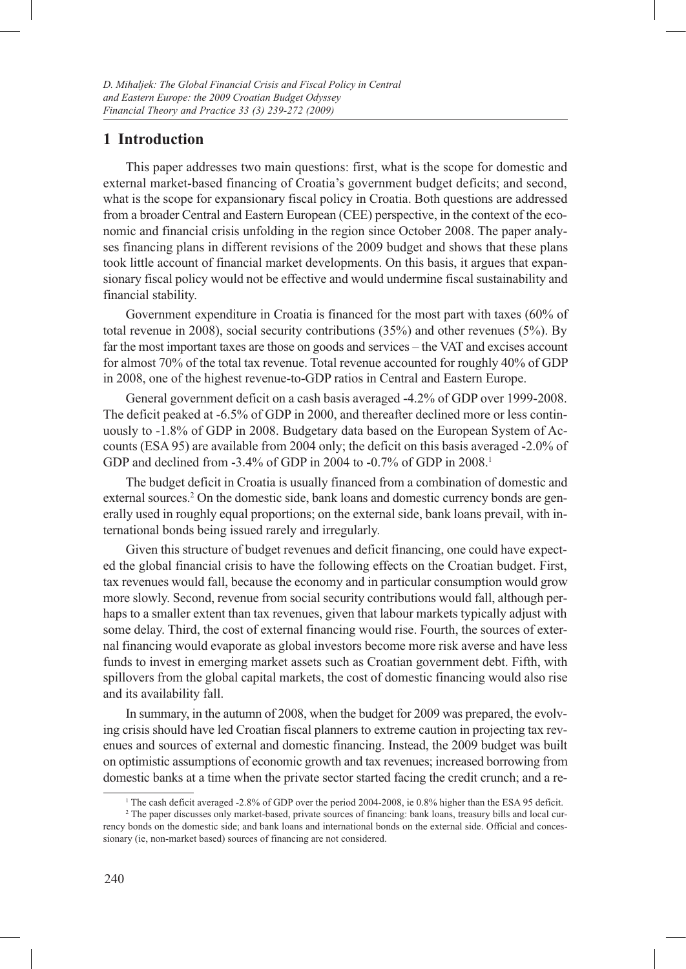# **1 Introduction**

This paper addresses two main questions: first, what is the scope for domestic and external market-based financing of Croatia's government budget deficits; and second, what is the scope for expansionary fiscal policy in Croatia. Both questions are addressed from a broader Central and Eastern European (CEE) perspective, in the context of the economic and financial crisis unfolding in the region since October 2008. The paper analyses financing plans in different revisions of the 2009 budget and shows that these plans took little account of financial market developments. On this basis, it argues that expansionary fiscal policy would not be effective and would undermine fiscal sustainability and financial stability.

Government expenditure in Croatia is financed for the most part with taxes (60% of total revenue in 2008), social security contributions (35%) and other revenues (5%). By far the most important taxes are those on goods and services – the VAT and excises account for almost 70% of the total tax revenue. Total revenue accounted for roughly 40% of GDP in 2008, one of the highest revenue-to-GDP ratios in Central and Eastern Europe.

General government deficit on a cash basis averaged -4.2% of GDP over 1999-2008. The deficit peaked at -6.5% of GDP in 2000, and thereafter declined more or less continuously to -1.8% of GDP in 2008. Budgetary data based on the European System of Accounts (ESA 95) are available from 2004 only; the deficit on this basis averaged -2.0% of GDP and declined from -3.4% of GDP in 2004 to -0.7% of GDP in 2008.<sup>1</sup>

The budget deficit in Croatia is usually financed from a combination of domestic and external sources.<sup>2</sup> On the domestic side, bank loans and domestic currency bonds are generally used in roughly equal proportions; on the external side, bank loans prevail, with international bonds being issued rarely and irregularly.

Given this structure of budget revenues and deficit financing, one could have expected the global financial crisis to have the following effects on the Croatian budget. First, tax revenues would fall, because the economy and in particular consumption would grow more slowly. Second, revenue from social security contributions would fall, although perhaps to a smaller extent than tax revenues, given that labour markets typically adjust with some delay. Third, the cost of external financing would rise. Fourth, the sources of external financing would evaporate as global investors become more risk averse and have less funds to invest in emerging market assets such as Croatian government debt. Fifth, with spillovers from the global capital markets, the cost of domestic financing would also rise and its availability fall.

In summary, in the autumn of 2008, when the budget for 2009 was prepared, the evolving crisis should have led Croatian fiscal planners to extreme caution in projecting tax revenues and sources of external and domestic financing. Instead, the 2009 budget was built on optimistic assumptions of economic growth and tax revenues; increased borrowing from domestic banks at a time when the private sector started facing the credit crunch; and a re-

<sup>1</sup> The cash deficit averaged -2.8% of GDP over the period 2004-2008, ie 0.8% higher than the ESA 95 deficit.

<sup>2</sup> The paper discusses only market-based, private sources of financing: bank loans, treasury bills and local currency bonds on the domestic side; and bank loans and international bonds on the external side. Official and concessionary (ie, non-market based) sources of financing are not considered.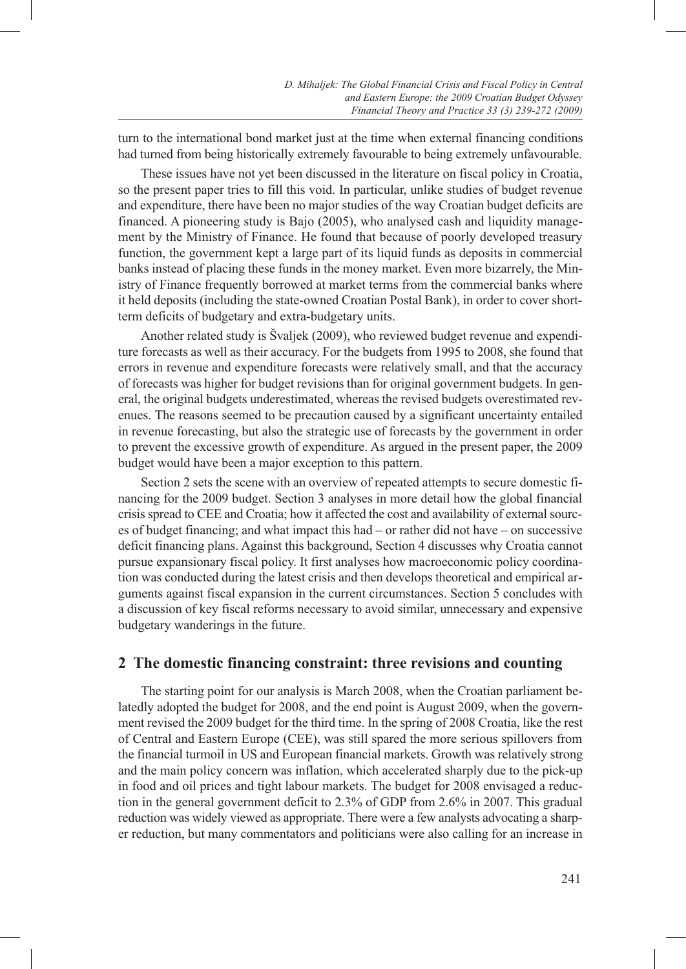turn to the international bond market just at the time when external financing conditions had turned from being historically extremely favourable to being extremely unfavourable.

These issues have not yet been discussed in the literature on fiscal policy in Croatia, so the present paper tries to fill this void. In particular, unlike studies of budget revenue and expenditure, there have been no major studies of the way Croatian budget deficits are financed. A pioneering study is Bajo (2005), who analysed cash and liquidity management by the Ministry of Finance. He found that because of poorly developed treasury function, the government kept a large part of its liquid funds as deposits in commercial banks instead of placing these funds in the money market. Even more bizarrely, the Ministry of Finance frequently borrowed at market terms from the commercial banks where it held deposits (including the state-owned Croatian Postal Bank), in order to cover shortterm deficits of budgetary and extra-budgetary units.

Another related study is Švaljek (2009), who reviewed budget revenue and expenditure forecasts as well as their accuracy. For the budgets from 1995 to 2008, she found that errors in revenue and expenditure forecasts were relatively small, and that the accuracy of forecasts was higher for budget revisions than for original government budgets. In general, the original budgets underestimated, whereas the revised budgets overestimated revenues. The reasons seemed to be precaution caused by a significant uncertainty entailed in revenue forecasting, but also the strategic use of forecasts by the government in order to prevent the excessive growth of expenditure. As argued in the present paper, the 2009 budget would have been a major exception to this pattern.

Section 2 sets the scene with an overview of repeated attempts to secure domestic financing for the 2009 budget. Section 3 analyses in more detail how the global financial crisis spread to CEE and Croatia; how it affected the cost and availability of external sources of budget financing; and what impact this had – or rather did not have – on successive deficit financing plans. Against this background, Section 4 discusses why Croatia cannot pursue expansionary fiscal policy. It first analyses how macroeconomic policy coordination was conducted during the latest crisis and then develops theoretical and empirical arguments against fiscal expansion in the current circumstances. Section 5 concludes with a discussion of key fiscal reforms necessary to avoid similar, unnecessary and expensive budgetary wanderings in the future.

# **2 The domestic financing constraint: three revisions and counting**

The starting point for our analysis is March 2008, when the Croatian parliament belatedly adopted the budget for 2008, and the end point is August 2009, when the government revised the 2009 budget for the third time. In the spring of 2008 Croatia, like the rest of Central and Eastern Europe (CEE), was still spared the more serious spillovers from the financial turmoil in US and European financial markets. Growth was relatively strong and the main policy concern was inflation, which accelerated sharply due to the pick-up in food and oil prices and tight labour markets. The budget for 2008 envisaged a reduction in the general government deficit to 2.3% of GDP from 2.6% in 2007. This gradual reduction was widely viewed as appropriate. There were a few analysts advocating a sharper reduction, but many commentators and politicians were also calling for an increase in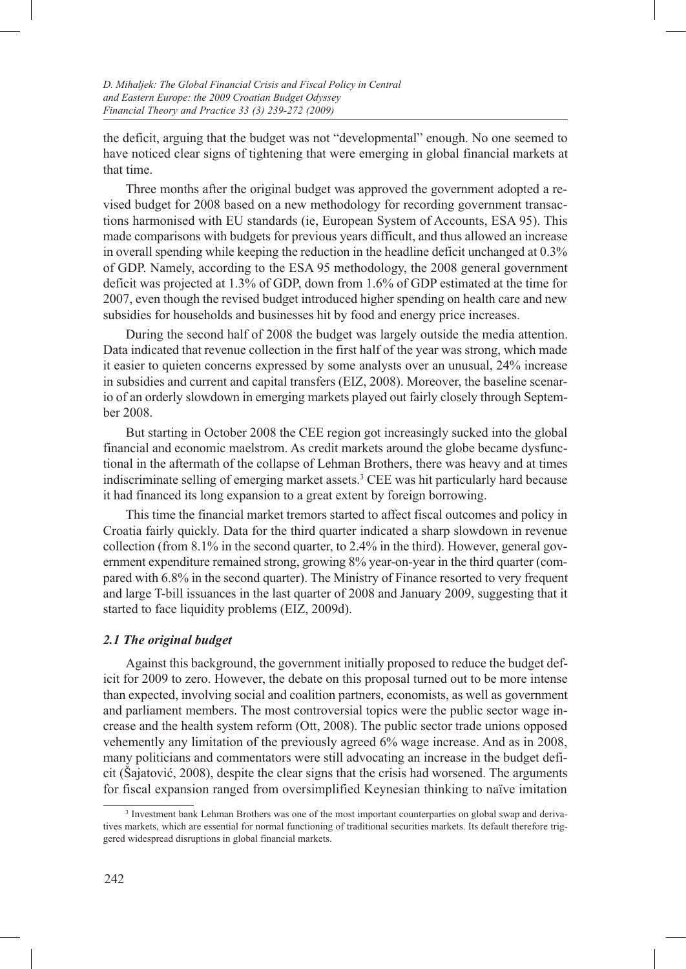the deficit, arguing that the budget was not "developmental" enough. No one seemed to have noticed clear signs of tightening that were emerging in global financial markets at that time.

Three months after the original budget was approved the government adopted a revised budget for 2008 based on a new methodology for recording government transactions harmonised with EU standards (ie, European System of Accounts, ESA 95). This made comparisons with budgets for previous years difficult, and thus allowed an increase in overall spending while keeping the reduction in the headline deficit unchanged at 0.3% of GDP. Namely, according to the ESA 95 methodology, the 2008 general government deficit was projected at 1.3% of GDP, down from 1.6% of GDP estimated at the time for 2007, even though the revised budget introduced higher spending on health care and new subsidies for households and businesses hit by food and energy price increases.

During the second half of 2008 the budget was largely outside the media attention. Data indicated that revenue collection in the first half of the year was strong, which made it easier to quieten concerns expressed by some analysts over an unusual, 24% increase in subsidies and current and capital transfers (EIZ, 2008). Moreover, the baseline scenario of an orderly slowdown in emerging markets played out fairly closely through September 2008.

But starting in October 2008 the CEE region got increasingly sucked into the global financial and economic maelstrom. As credit markets around the globe became dysfunctional in the aftermath of the collapse of Lehman Brothers, there was heavy and at times indiscriminate selling of emerging market assets.3 CEE was hit particularly hard because it had financed its long expansion to a great extent by foreign borrowing.

This time the financial market tremors started to affect fiscal outcomes and policy in Croatia fairly quickly. Data for the third quarter indicated a sharp slowdown in revenue collection (from 8.1% in the second quarter, to 2.4% in the third). However, general government expenditure remained strong, growing 8% year-on-year in the third quarter (compared with 6.8% in the second quarter). The Ministry of Finance resorted to very frequent and large T-bill issuances in the last quarter of 2008 and January 2009, suggesting that it started to face liquidity problems (EIZ, 2009d).

#### *2.1 The original budget*

Against this background, the government initially proposed to reduce the budget deficit for 2009 to zero. However, the debate on this proposal turned out to be more intense than expected, involving social and coalition partners, economists, as well as government and parliament members. The most controversial topics were the public sector wage increase and the health system reform (Ott, 2008). The public sector trade unions opposed vehemently any limitation of the previously agreed 6% wage increase. And as in 2008, many politicians and commentators were still advocating an increase in the budget deficit (Šajatović, 2008), despite the clear signs that the crisis had worsened. The arguments for fiscal expansion ranged from oversimplified Keynesian thinking to naïve imitation

<sup>&</sup>lt;sup>3</sup> Investment bank Lehman Brothers was one of the most important counterparties on global swap and derivatives markets, which are essential for normal functioning of traditional securities markets. Its default therefore triggered widespread disruptions in global financial markets.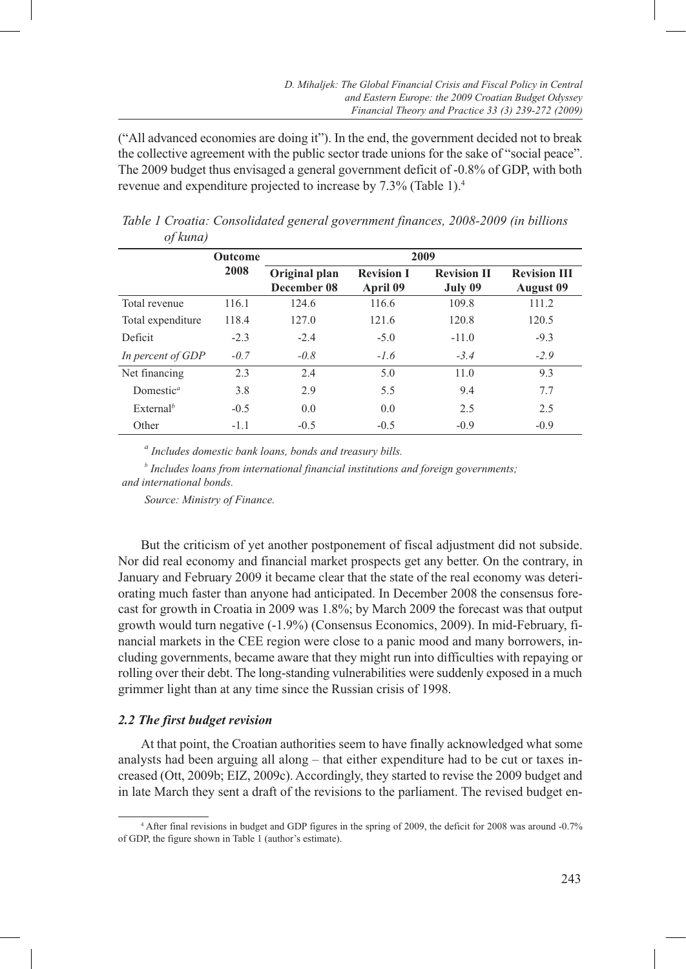("All advanced economies are doing it"). In the end, the government decided not to break the collective agreement with the public sector trade unions for the sake of "social peace". The 2009 budget thus envisaged a general government deficit of -0.8% of GDP, with both revenue and expenditure projected to increase by 7.3% (Table 1).4

| $Q$ $\mu$ $\mu$ $\mu$        |                |                              |                               |                               |                                         |  |  |  |  |
|------------------------------|----------------|------------------------------|-------------------------------|-------------------------------|-----------------------------------------|--|--|--|--|
|                              | <b>Outcome</b> | 2009                         |                               |                               |                                         |  |  |  |  |
|                              | 2008           | Original plan<br>December 08 | <b>Revision I</b><br>April 09 | <b>Revision II</b><br>July 09 | <b>Revision III</b><br><b>August</b> 09 |  |  |  |  |
| Total revenue                | 116.1          | 124.6                        | 116.6                         | 109.8                         | 111.2                                   |  |  |  |  |
| Total expenditure            | 118.4          | 127.0                        | 121.6                         | 120.8                         | 120.5                                   |  |  |  |  |
| Deficit                      | $-2.3$         | $-2.4$                       | $-5.0$                        | $-11.0$                       | $-9.3$                                  |  |  |  |  |
| In percent of GDP            | $-0.7$         | $-0.8$                       | $-1.6$                        | $-3.4$                        | $-2.9$                                  |  |  |  |  |
| Net financing                | 2.3            | 2.4                          | 5.0                           | 11.0                          | 9.3                                     |  |  |  |  |
| Domestic <sup><i>a</i></sup> | 3.8            | 2.9                          | 5.5                           | 9.4                           | 7.7                                     |  |  |  |  |
| External <sup>b</sup>        | $-0.5$         | 0.0                          | 0.0                           | 2.5                           | 2.5                                     |  |  |  |  |
| Other                        | $-1.1$         | $-0.5$                       | $-0.5$                        | $-0.9$                        | $-0.9$                                  |  |  |  |  |

*Table 1 Croatia: Consolidated general government finances, 2008-2009 (in billions of kuna)*

*a Includes domestic bank loans, bonds and treasury bills.*

*b Includes loans from international financial institutions and foreign governments; and international bonds.*

*Source: Ministry of Finance.* 

But the criticism of yet another postponement of fiscal adjustment did not subside. Nor did real economy and financial market prospects get any better. On the contrary, in January and February 2009 it became clear that the state of the real economy was deteriorating much faster than anyone had anticipated. In December 2008 the consensus forecast for growth in Croatia in 2009 was 1.8%; by March 2009 the forecast was that output growth would turn negative (-1.9%) (Consensus Economics, 2009). In mid-February, financial markets in the CEE region were close to a panic mood and many borrowers, including governments, became aware that they might run into difficulties with repaying or rolling over their debt. The long-standing vulnerabilities were suddenly exposed in a much grimmer light than at any time since the Russian crisis of 1998.

# *2.2 The first budget revision*

At that point, the Croatian authorities seem to have finally acknowledged what some analysts had been arguing all along – that either expenditure had to be cut or taxes increased (Ott, 2009b; EIZ, 2009c). Accordingly, they started to revise the 2009 budget and in late March they sent a draft of the revisions to the parliament. The revised budget en-

<sup>4</sup> After final revisions in budget and GDP figures in the spring of 2009, the deficit for 2008 was around -0.7% of GDP, the figure shown in Table 1 (author's estimate).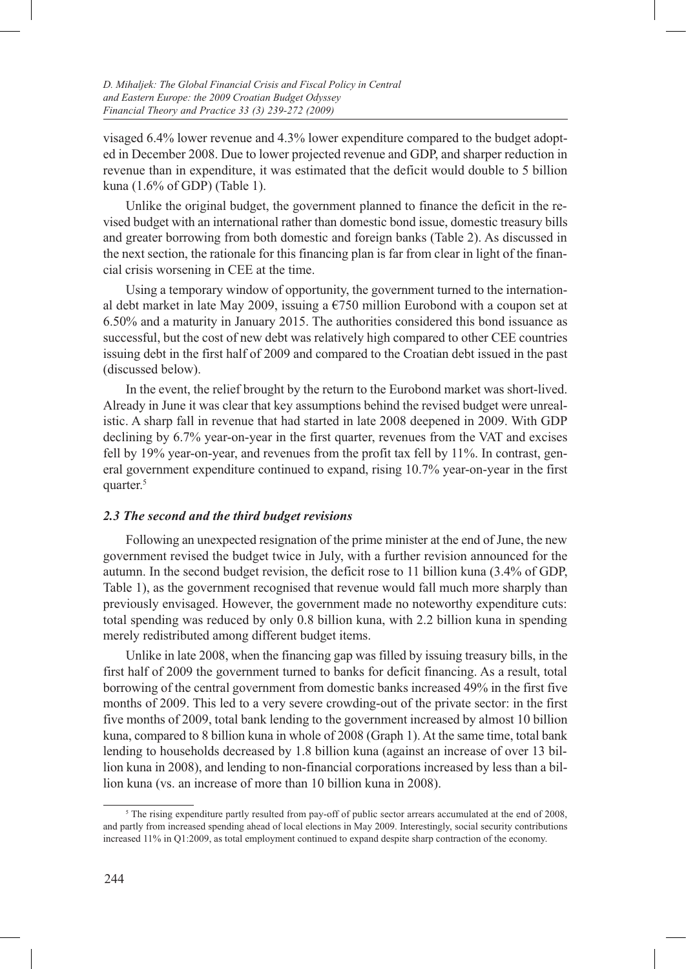visaged 6.4% lower revenue and 4.3% lower expenditure compared to the budget adopted in December 2008. Due to lower projected revenue and GDP, and sharper reduction in revenue than in expenditure, it was estimated that the deficit would double to 5 billion kuna (1.6% of GDP) (Table 1).

Unlike the original budget, the government planned to finance the deficit in the revised budget with an international rather than domestic bond issue, domestic treasury bills and greater borrowing from both domestic and foreign banks (Table 2). As discussed in the next section, the rationale for this financing plan is far from clear in light of the financial crisis worsening in CEE at the time.

Using a temporary window of opportunity, the government turned to the international debt market in late May 2009, issuing a  $\epsilon$ 750 million Eurobond with a coupon set at 6.50% and a maturity in January 2015. The authorities considered this bond issuance as successful, but the cost of new debt was relatively high compared to other CEE countries issuing debt in the first half of 2009 and compared to the Croatian debt issued in the past (discussed below).

In the event, the relief brought by the return to the Eurobond market was short-lived. Already in June it was clear that key assumptions behind the revised budget were unrealistic. A sharp fall in revenue that had started in late 2008 deepened in 2009. With GDP declining by 6.7% year-on-year in the first quarter, revenues from the VAT and excises fell by 19% year-on-year, and revenues from the profit tax fell by 11%. In contrast, general government expenditure continued to expand, rising 10.7% year-on-year in the first quarter.<sup>5</sup>

#### *2.3 The second and the third budget revisions*

Following an unexpected resignation of the prime minister at the end of June, the new government revised the budget twice in July, with a further revision announced for the autumn. In the second budget revision, the deficit rose to 11 billion kuna (3.4% of GDP, Table 1), as the government recognised that revenue would fall much more sharply than previously envisaged. However, the government made no noteworthy expenditure cuts: total spending was reduced by only 0.8 billion kuna, with 2.2 billion kuna in spending merely redistributed among different budget items.

Unlike in late 2008, when the financing gap was filled by issuing treasury bills, in the first half of 2009 the government turned to banks for deficit financing. As a result, total borrowing of the central government from domestic banks increased 49% in the first five months of 2009. This led to a very severe crowding-out of the private sector: in the first five months of 2009, total bank lending to the government increased by almost 10 billion kuna, compared to 8 billion kuna in whole of 2008 (Graph 1). At the same time, total bank lending to households decreased by 1.8 billion kuna (against an increase of over 13 billion kuna in 2008), and lending to non-financial corporations increased by less than a billion kuna (vs. an increase of more than 10 billion kuna in 2008).

<sup>&</sup>lt;sup>5</sup> The rising expenditure partly resulted from pay-off of public sector arrears accumulated at the end of 2008, and partly from increased spending ahead of local elections in May 2009. Interestingly, social security contributions increased 11% in Q1:2009, as total employment continued to expand despite sharp contraction of the economy.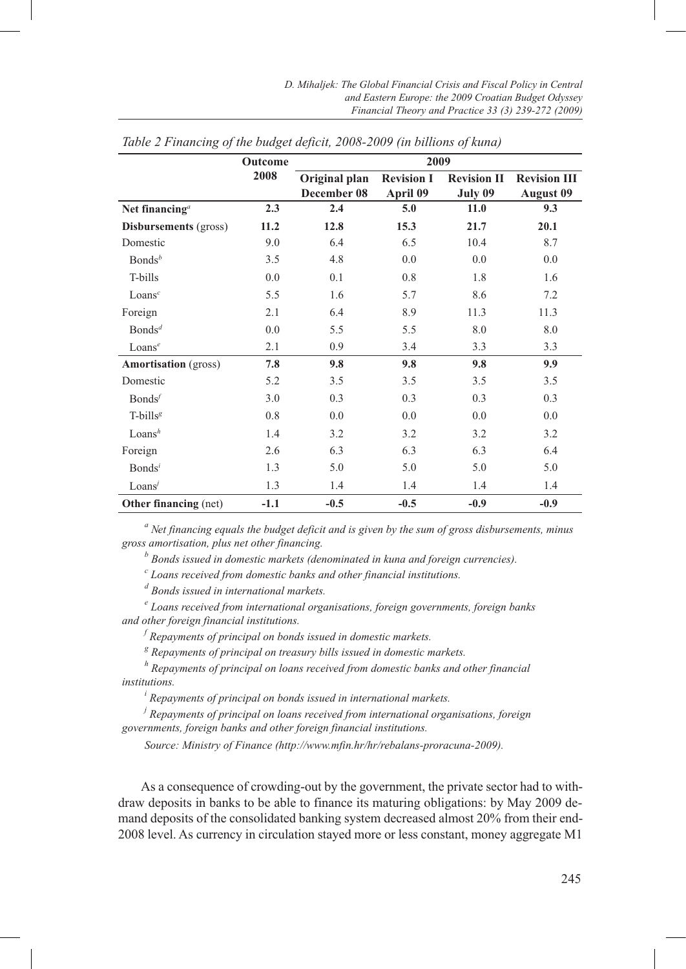|                                         | Outcome | 2009                         |                               |                               |                                         |  |  |  |  |
|-----------------------------------------|---------|------------------------------|-------------------------------|-------------------------------|-----------------------------------------|--|--|--|--|
|                                         | 2008    | Original plan<br>December 08 | <b>Revision I</b><br>April 09 | <b>Revision II</b><br>July 09 | <b>Revision III</b><br><b>August 09</b> |  |  |  |  |
| Net financing <sup><math>a</math></sup> | 2.3     | 2.4                          | 5.0                           | 11.0                          | 9.3                                     |  |  |  |  |
| Disbursements (gross)                   | 11.2    | 12.8                         | 15.3                          | 21.7                          | 20.1                                    |  |  |  |  |
| Domestic                                | 9.0     | 6.4                          | 6.5                           | 10.4                          | 8.7                                     |  |  |  |  |
| $\mathsf{Bonds}^b$                      | 3.5     | 4.8                          | 0.0                           | 0.0                           | 0.0                                     |  |  |  |  |
| T-bills                                 | 0.0     | 0.1                          | 0.8                           | 1.8                           | 1.6                                     |  |  |  |  |
| Loans <sup>c</sup>                      | 5.5     | 1.6                          | 5.7                           | 8.6                           | 7.2                                     |  |  |  |  |
| Foreign                                 | 2.1     | 6.4                          | 8.9                           | 11.3                          | 11.3                                    |  |  |  |  |
| Bonds <sup>d</sup>                      | 0.0     | 5.5                          | 5.5                           | 8.0                           | 8.0                                     |  |  |  |  |
| Loans <sup>e</sup>                      | 2.1     | 0.9                          | 3.4                           | 3.3                           | 3.3                                     |  |  |  |  |
| <b>Amortisation</b> (gross)             | 7.8     | 9.8                          | 9.8                           | 9.8                           | 9.9                                     |  |  |  |  |
| Domestic                                | 5.2     | 3.5                          | 3.5                           | 3.5                           | 3.5                                     |  |  |  |  |
| Bonds <sup>f</sup>                      | 3.0     | 0.3                          | 0.3                           | 0.3                           | 0.3                                     |  |  |  |  |
| T-bills <sup>g</sup>                    | 0.8     | 0.0                          | 0.0                           | 0.0                           | 0.0                                     |  |  |  |  |
| Loans <sup>h</sup>                      | 1.4     | 3.2                          | 3.2                           | 3.2                           | 3.2                                     |  |  |  |  |
| Foreign                                 | 2.6     | 6.3                          | 6.3                           | 6.3                           | 6.4                                     |  |  |  |  |
| Bonds <sup>i</sup>                      | 1.3     | 5.0                          | 5.0                           | 5.0                           | 5.0                                     |  |  |  |  |
| Loans'                                  | 1.3     | 1.4                          | 1.4                           | 1.4                           | 1.4                                     |  |  |  |  |
| <b>Other financing</b> (net)            | $-1.1$  | $-0.5$                       | $-0.5$                        | $-0.9$                        | $-0.9$                                  |  |  |  |  |

*Table 2 Financing of the budget deficit, 2008-2009 (in billions of kuna)*

*a Net financing equals the budget deficit and is given by the sum of gross disbursements, minus gross amortisation, plus net other financing.*

*b Bonds issued in domestic markets (denominated in kuna and foreign currencies).* 

*c Loans received from domestic banks and other financial institutions.* 

*d Bonds issued in international markets.*

*e Loans received from international organisations, foreign governments, foreign banks and other foreign financial institutions.* 

*f Repayments of principal on bonds issued in domestic markets.* 

<sup>g</sup> Repayments of principal on treasury bills issued in domestic markets.

<sup>g</sup> Repayments of principal on treasury bills issued in domestic markets.<br><sup>h</sup> Repayments of principal on loans received from domestic banks and other financial *institutions.*

*i Repayments of principal on bonds issued in international markets.* 

*j Repayments of principal on loans received from international organisations, foreign governments, foreign banks and other foreign financial institutions.*

*Source: Ministry of Finance (http://www.mfin.hr/hr/rebalans-proracuna-2009).*

As a consequence of crowding-out by the government, the private sector had to withdraw deposits in banks to be able to finance its maturing obligations: by May 2009 demand deposits of the consolidated banking system decreased almost 20% from their end-2008 level. As currency in circulation stayed more or less constant, money aggregate M1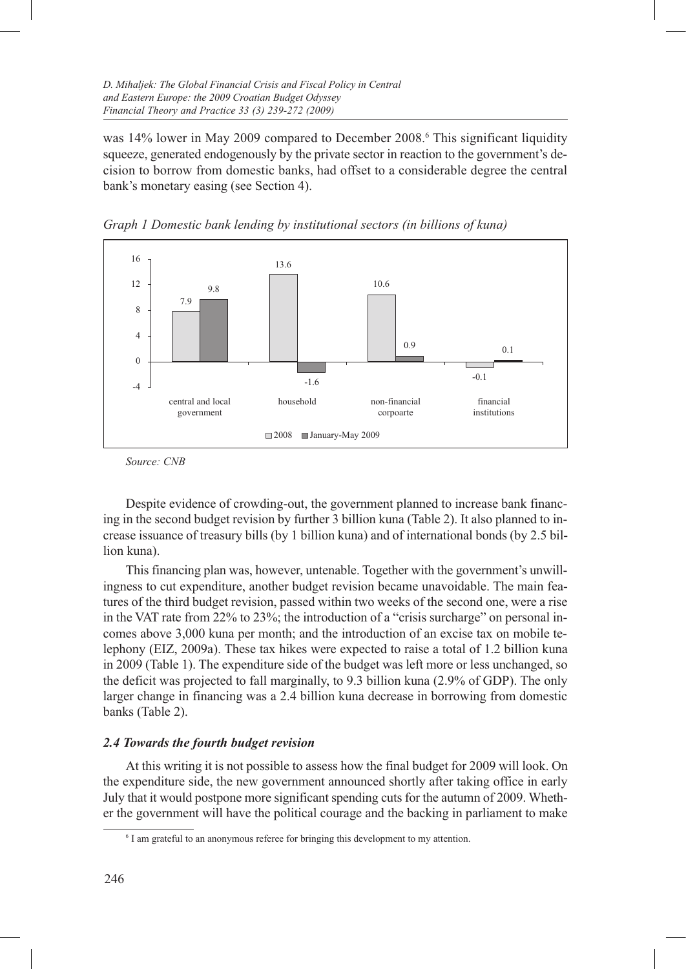was 14% lower in May 2009 compared to December 2008.<sup>6</sup> This significant liquidity squeeze, generated endogenously by the private sector in reaction to the government's decision to borrow from domestic banks, had offset to a considerable degree the central bank's monetary easing (see Section 4).



*Graph 1 Domestic bank lending by institutional sectors (in billions of kuna)*

Despite evidence of crowding-out, the government planned to increase bank financing in the second budget revision by further 3 billion kuna (Table 2). It also planned to increase issuance of treasury bills (by 1 billion kuna) and of international bonds (by 2.5 billion kuna).

This financing plan was, however, untenable. Together with the government's unwillingness to cut expenditure, another budget revision became unavoidable. The main features of the third budget revision, passed within two weeks of the second one, were a rise in the VAT rate from 22% to 23%; the introduction of a "crisis surcharge" on personal incomes above 3,000 kuna per month; and the introduction of an excise tax on mobile telephony (EIZ, 2009a). These tax hikes were expected to raise a total of 1.2 billion kuna in 2009 (Table 1). The expenditure side of the budget was left more or less unchanged, so the deficit was projected to fall marginally, to 9.3 billion kuna (2.9% of GDP). The only larger change in financing was a 2.4 billion kuna decrease in borrowing from domestic banks (Table 2).

# *2.4 Towards the fourth budget revision*

At this writing it is not possible to assess how the final budget for 2009 will look. On the expenditure side, the new government announced shortly after taking office in early July that it would postpone more significant spending cuts for the autumn of 2009. Whether the government will have the political courage and the backing in parliament to make

*Source: CNB*

<sup>&</sup>lt;sup>6</sup> I am grateful to an anonymous referee for bringing this development to my attention.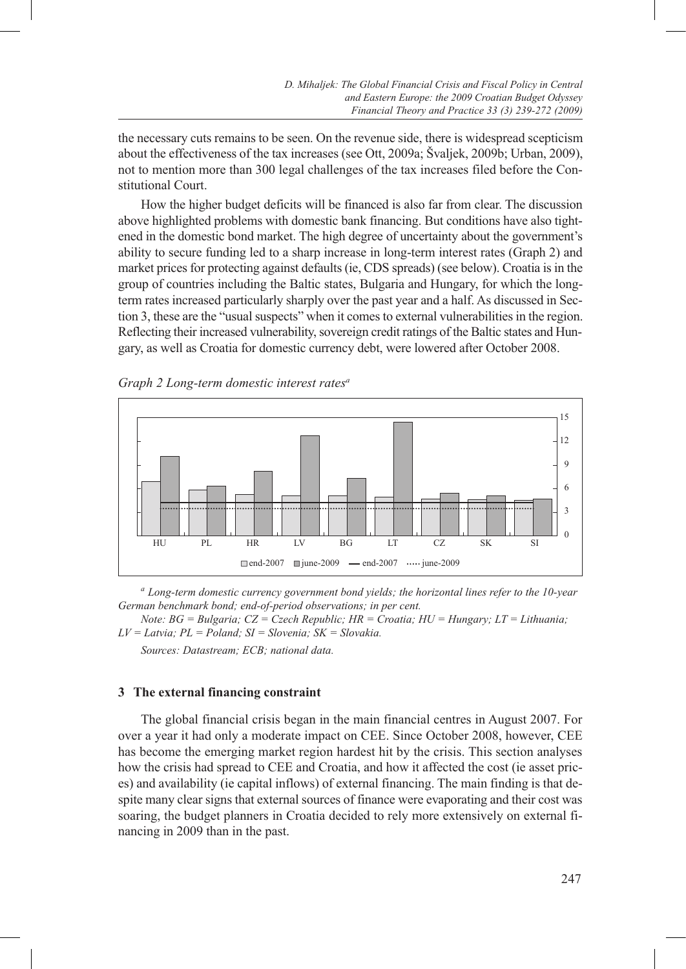the necessary cuts remains to be seen. On the revenue side, there is widespread scepticism about the effectiveness of the tax increases (see Ott, 2009a; Švaljek, 2009b; Urban, 2009), not to mention more than 300 legal challenges of the tax increases filed before the Constitutional Court.

How the higher budget deficits will be financed is also far from clear. The discussion above highlighted problems with domestic bank financing. But conditions have also tightened in the domestic bond market. The high degree of uncertainty about the government's ability to secure funding led to a sharp increase in long-term interest rates (Graph 2) and market prices for protecting against defaults (ie, CDS spreads) (see below). Croatia is in the group of countries including the Baltic states, Bulgaria and Hungary, for which the longterm rates increased particularly sharply over the past year and a half. As discussed in Section 3, these are the "usual suspects" when it comes to external vulnerabilities in the region. Reflecting their increased vulnerability, sovereign credit ratings of the Baltic states and Hungary, as well as Croatia for domestic currency debt, were lowered after October 2008.





*<sup>a</sup> Long-term domestic currency government bond yields; the horizontal lines refer to the 10-year German benchmark bond; end-of-period observations; in per cent.* 

*Note: BG = Bulgaria; CZ = Czech Republic; HR = Croatia; HU = Hungary; LT = Lithuania; LV = Latvia; PL = Poland; SI = Slovenia; SK = Slovakia.*

*Sources: Datastream; ECB; national data.*

# **3 The external financing constraint**

The global financial crisis began in the main financial centres in August 2007. For over a year it had only a moderate impact on CEE. Since October 2008, however, CEE has become the emerging market region hardest hit by the crisis. This section analyses how the crisis had spread to CEE and Croatia, and how it affected the cost (ie asset prices) and availability (ie capital inflows) of external financing. The main finding is that despite many clear signs that external sources of finance were evaporating and their cost was soaring, the budget planners in Croatia decided to rely more extensively on external financing in 2009 than in the past.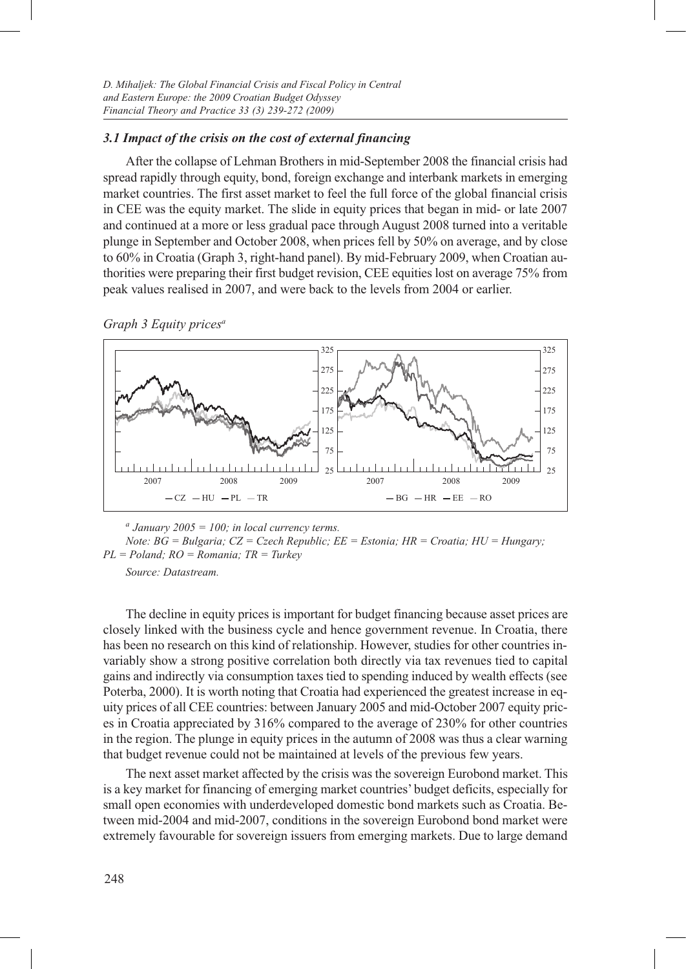# *3.1 Impact of the crisis on the cost of external financing*

After the collapse of Lehman Brothers in mid-September 2008 the financial crisis had spread rapidly through equity, bond, foreign exchange and interbank markets in emerging market countries. The first asset market to feel the full force of the global financial crisis in CEE was the equity market. The slide in equity prices that began in mid- or late 2007 and continued at a more or less gradual pace through August 2008 turned into a veritable plunge in September and October 2008, when prices fell by 50% on average, and by close to 60% in Croatia (Graph 3, right-hand panel). By mid-February 2009, when Croatian authorities were preparing their first budget revision, CEE equities lost on average 75% from peak values realised in 2007, and were back to the levels from 2004 or earlier.

*Graph 3 Equity pricesa*



*<sup>a</sup> January 2005 = 100; in local currency terms.*

*Note: BG = Bulgaria; CZ = Czech Republic; EE = Estonia; HR = Croatia; HU = Hungary; PL = Poland; RO = Romania; TR = Turkey*

*Source: Datastream.*

The decline in equity prices is important for budget financing because asset prices are closely linked with the business cycle and hence government revenue. In Croatia, there has been no research on this kind of relationship. However, studies for other countries invariably show a strong positive correlation both directly via tax revenues tied to capital gains and indirectly via consumption taxes tied to spending induced by wealth effects (see Poterba, 2000). It is worth noting that Croatia had experienced the greatest increase in equity prices of all CEE countries: between January 2005 and mid-October 2007 equity prices in Croatia appreciated by 316% compared to the average of 230% for other countries in the region. The plunge in equity prices in the autumn of 2008 was thus a clear warning that budget revenue could not be maintained at levels of the previous few years.

The next asset market affected by the crisis was the sovereign Eurobond market. This is a key market for financing of emerging market countries' budget deficits, especially for small open economies with underdeveloped domestic bond markets such as Croatia. Between mid-2004 and mid-2007, conditions in the sovereign Eurobond bond market were extremely favourable for sovereign issuers from emerging markets. Due to large demand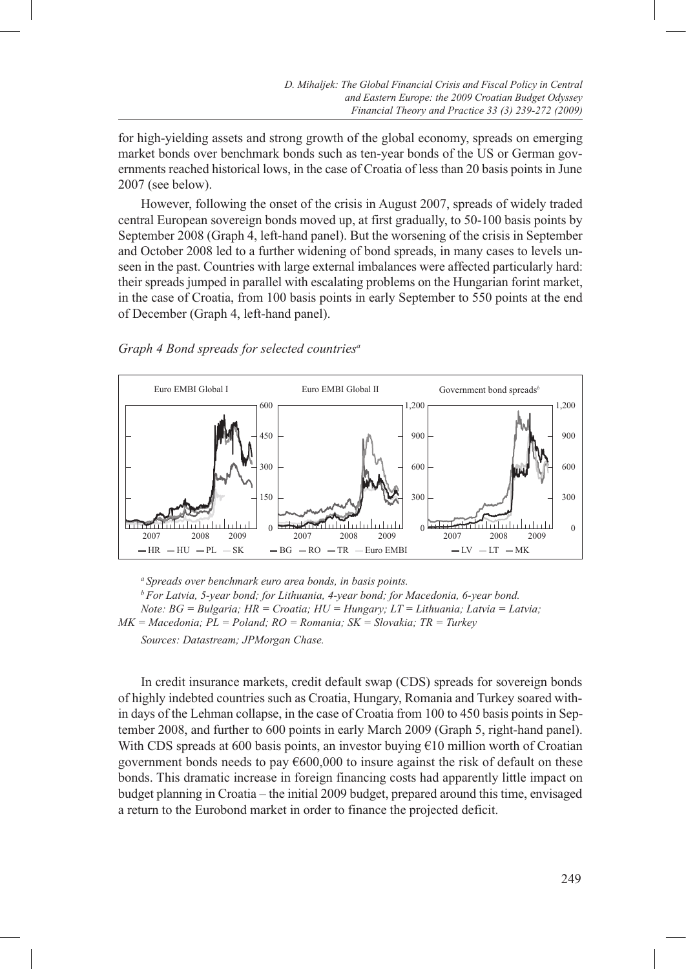for high-yielding assets and strong growth of the global economy, spreads on emerging market bonds over benchmark bonds such as ten-year bonds of the US or German governments reached historical lows, in the case of Croatia of less than 20 basis points in June 2007 (see below).

However, following the onset of the crisis in August 2007, spreads of widely traded central European sovereign bonds moved up, at first gradually, to 50-100 basis points by September 2008 (Graph 4, left-hand panel). But the worsening of the crisis in September and October 2008 led to a further widening of bond spreads, in many cases to levels unseen in the past. Countries with large external imbalances were affected particularly hard: their spreads jumped in parallel with escalating problems on the Hungarian forint market, in the case of Croatia, from 100 basis points in early September to 550 points at the end of December (Graph 4, left-hand panel).

#### *Graph 4 Bond spreads for selected countriesa*



*a Spreads over benchmark euro area bonds, in basis points. b For Latvia, 5-year bond; for Lithuania, 4-year bond; for Macedonia, 6-year bond. Note: BG = Bulgaria; HR = Croatia; HU = Hungary; LT = Lithuania; Latvia = Latvia; MK = Macedonia; PL = Poland; RO = Romania; SK = Slovakia; TR = Turkey Sources: Datastream; JPMorgan Chase.*

In credit insurance markets, credit default swap (CDS) spreads for sovereign bonds of highly indebted countries such as Croatia, Hungary, Romania and Turkey soared within days of the Lehman collapse, in the case of Croatia from 100 to 450 basis points in September 2008, and further to 600 points in early March 2009 (Graph 5, right-hand panel). With CDS spreads at 600 basis points, an investor buying  $\epsilon$ 10 million worth of Croatian government bonds needs to pay €600,000 to insure against the risk of default on these bonds. This dramatic increase in foreign financing costs had apparently little impact on budget planning in Croatia – the initial 2009 budget, prepared around this time, envisaged a return to the Eurobond market in order to finance the projected deficit.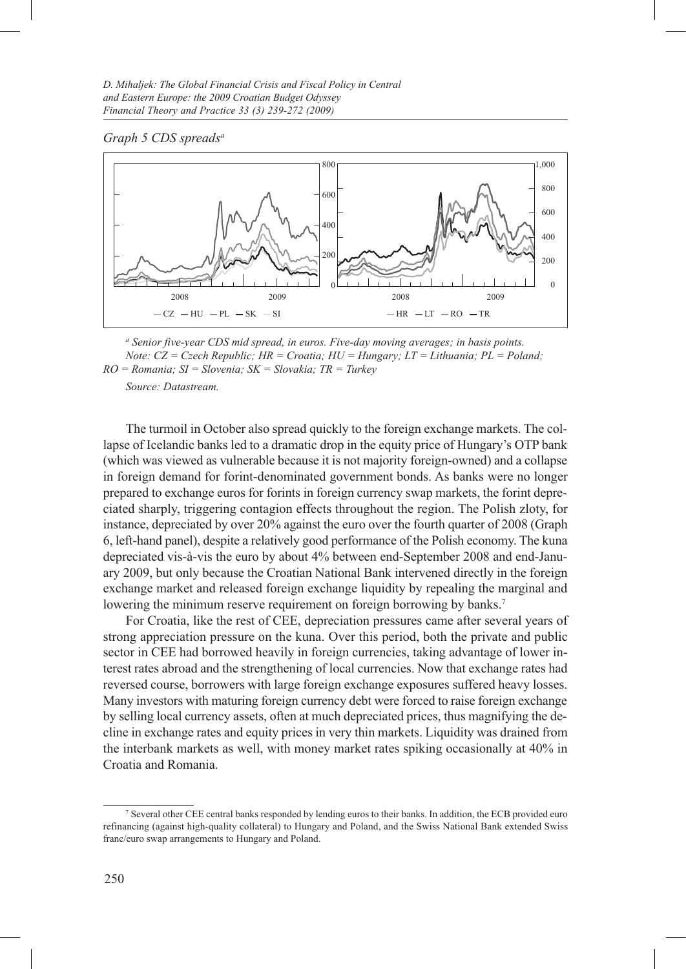#### *Graph 5 CDS spreadsa*



*<sup>a</sup> Senior five-year CDS mid spread, in euros. Five-day moving averages; in basis points. Note: CZ = Czech Republic; HR = Croatia; HU = Hungary; LT = Lithuania; PL = Poland; RO = Romania; SI = Slovenia; SK = Slovakia; TR = Turkey*

*Source: Datastream.*

The turmoil in October also spread quickly to the foreign exchange markets. The collapse of Icelandic banks led to a dramatic drop in the equity price of Hungary's OTP bank (which was viewed as vulnerable because it is not majority foreign-owned) and a collapse in foreign demand for forint-denominated government bonds. As banks were no longer prepared to exchange euros for forints in foreign currency swap markets, the forint depreciated sharply, triggering contagion effects throughout the region. The Polish zloty, for instance, depreciated by over 20% against the euro over the fourth quarter of 2008 (Graph 6, left-hand panel), despite a relatively good performance of the Polish economy. The kuna depreciated vis-à-vis the euro by about 4% between end-September 2008 and end-January 2009, but only because the Croatian National Bank intervened directly in the foreign exchange market and released foreign exchange liquidity by repealing the marginal and lowering the minimum reserve requirement on foreign borrowing by banks.<sup>7</sup>

For Croatia, like the rest of CEE, depreciation pressures came after several years of strong appreciation pressure on the kuna. Over this period, both the private and public sector in CEE had borrowed heavily in foreign currencies, taking advantage of lower interest rates abroad and the strengthening of local currencies. Now that exchange rates had reversed course, borrowers with large foreign exchange exposures suffered heavy losses. Many investors with maturing foreign currency debt were forced to raise foreign exchange by selling local currency assets, often at much depreciated prices, thus magnifying the decline in exchange rates and equity prices in very thin markets. Liquidity was drained from the interbank markets as well, with money market rates spiking occasionally at 40% in Croatia and Romania.

<sup>7</sup> Several other CEE central banks responded by lending euros to their banks. In addition, the ECB provided euro refinancing (against high-quality collateral) to Hungary and Poland, and the Swiss National Bank extended Swiss franc/euro swap arrangements to Hungary and Poland.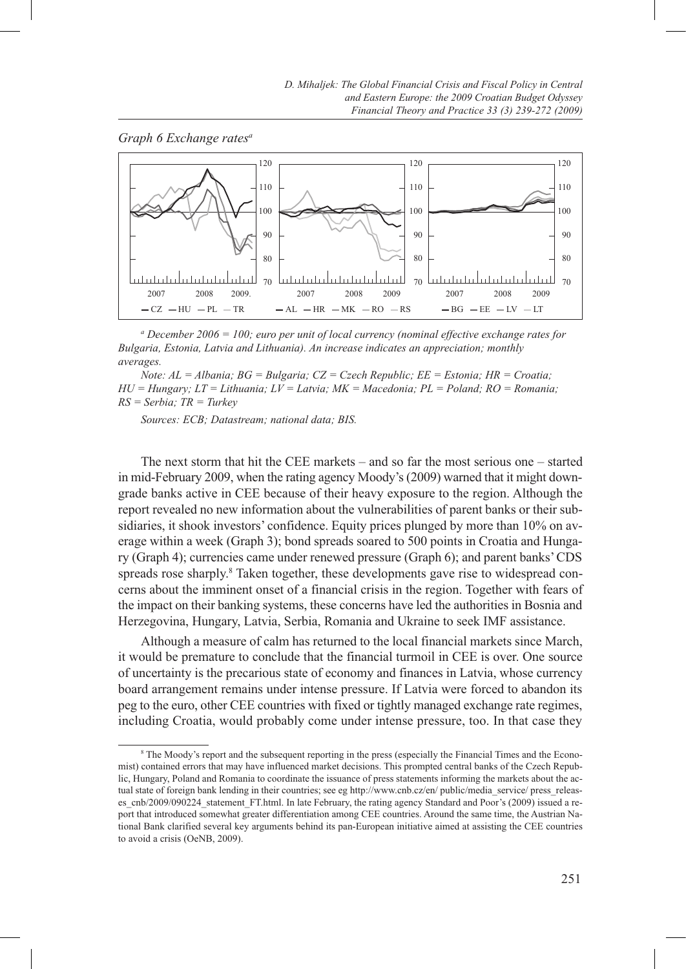



*a December 2006 = 100; euro per unit of local currency (nominal effective exchange rates for Bulgaria, Estonia, Latvia and Lithuania). An increase indicates an appreciation; monthly averages.*

*Note: AL = Albania; BG = Bulgaria; CZ = Czech Republic; EE = Estonia; HR = Croatia; HU = Hungary; LT = Lithuania; LV = Latvia; MK = Macedonia; PL = Poland; RO = Romania; RS = Serbia; TR = Turkey*

*Sources: ECB; Datastream; national data; BIS.*

The next storm that hit the CEE markets – and so far the most serious one – started in mid-February 2009, when the rating agency Moody's (2009) warned that it might downgrade banks active in CEE because of their heavy exposure to the region. Although the report revealed no new information about the vulnerabilities of parent banks or their subsidiaries, it shook investors' confidence. Equity prices plunged by more than 10% on average within a week (Graph 3); bond spreads soared to 500 points in Croatia and Hungary (Graph 4); currencies came under renewed pressure (Graph 6); and parent banks' CDS spreads rose sharply.<sup>8</sup> Taken together, these developments gave rise to widespread concerns about the imminent onset of a financial crisis in the region. Together with fears of the impact on their banking systems, these concerns have led the authorities in Bosnia and Herzegovina, Hungary, Latvia, Serbia, Romania and Ukraine to seek IMF assistance.

Although a measure of calm has returned to the local financial markets since March, it would be premature to conclude that the financial turmoil in CEE is over. One source of uncertainty is the precarious state of economy and finances in Latvia, whose currency board arrangement remains under intense pressure. If Latvia were forced to abandon its peg to the euro, other CEE countries with fixed or tightly managed exchange rate regimes, including Croatia, would probably come under intense pressure, too. In that case they

<sup>8</sup> The Moody's report and the subsequent reporting in the press (especially the Financial Times and the Economist) contained errors that may have influenced market decisions. This prompted central banks of the Czech Republic, Hungary, Poland and Romania to coordinate the issuance of press statements informing the markets about the actual state of foreign bank lending in their countries; see eg http://www.cnb.cz/en/ public/media\_service/ press\_releases\_cnb/2009/090224\_statement\_FT.html. In late February, the rating agency Standard and Poor's (2009) issued a report that introduced somewhat greater differentiation among CEE countries. Around the same time, the Austrian National Bank clarified several key arguments behind its pan-European initiative aimed at assisting the CEE countries to avoid a crisis (OeNB, 2009).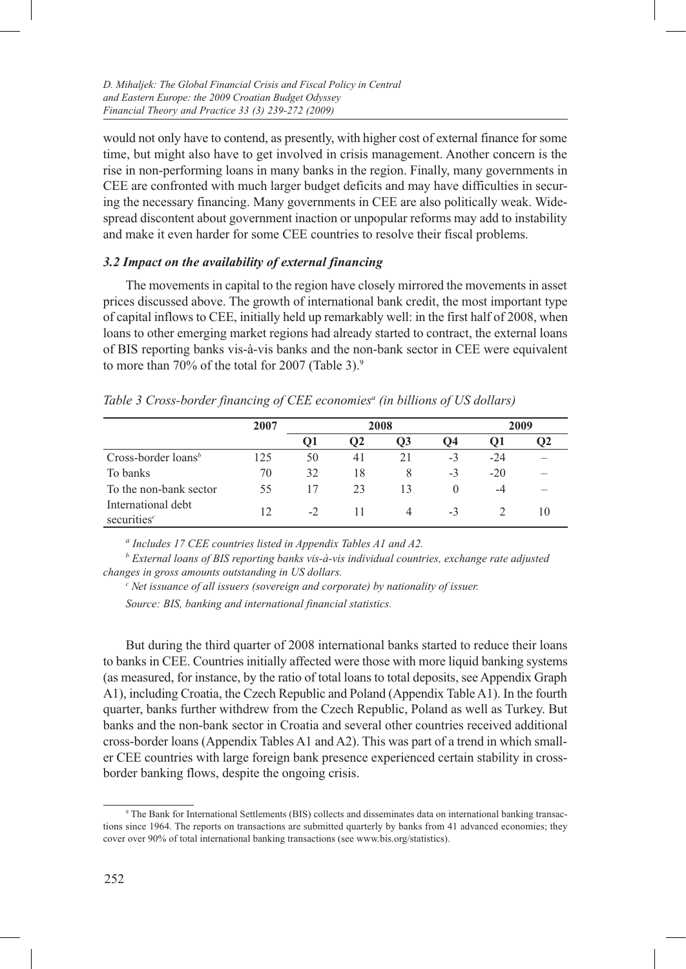would not only have to contend, as presently, with higher cost of external finance for some time, but might also have to get involved in crisis management. Another concern is the rise in non-performing loans in many banks in the region. Finally, many governments in CEE are confronted with much larger budget deficits and may have difficulties in securing the necessary financing. Many governments in CEE are also politically weak. Widespread discontent about government inaction or unpopular reforms may add to instability and make it even harder for some CEE countries to resolve their fiscal problems.

# *3.2 Impact on the availability of external financing*

The movements in capital to the region have closely mirrored the movements in asset prices discussed above. The growth of international bank credit, the most important type of capital inflows to CEE, initially held up remarkably well: in the first half of 2008, when loans to other emerging market regions had already started to contract, the external loans of BIS reporting banks vis-à-vis banks and the non-bank sector in CEE were equivalent to more than 70% of the total for 2007 (Table 3).<sup>9</sup>

|                                      | 2007 |      | 2008 |    | 2009     |       |    |
|--------------------------------------|------|------|------|----|----------|-------|----|
|                                      |      | 01   | O2   | O3 | О4       | υı    | Ο2 |
| Cross-border loans <sup>b</sup>      | 125  | 50   | 41   | 21 | $-3$     | $-24$ |    |
| To banks                             | 70   | 32   | 18   | 8  | $-3$     | $-20$ |    |
| To the non-bank sector               | 55   | 17   | 23   | 13 | $\theta$ | -4    |    |
| International debt<br>securities $c$ | 12   | $-2$ | 11   |    | $-3$     |       | 10 |

*Table 3 Cross-border financing of CEE economiesa (in billions of US dollars)*

*a Includes 17 CEE countries listed in Appendix Tables A1 and A2.*

<sup>*b*</sup> External loans of BIS reporting banks vis-à-vis individual countries, exchange rate adjusted *changes in gross amounts outstanding in US dollars.*

*<sup>c</sup> Net issuance of all issuers (sovereign and corporate) by nationality of issuer. Source: BIS, banking and international financial statistics.*

But during the third quarter of 2008 international banks started to reduce their loans to banks in CEE. Countries initially affected were those with more liquid banking systems (as measured, for instance, by the ratio of total loans to total deposits, see Appendix Graph A1), including Croatia, the Czech Republic and Poland (Appendix Table A1). In the fourth quarter, banks further withdrew from the Czech Republic, Poland as well as Turkey. But banks and the non-bank sector in Croatia and several other countries received additional cross-border loans (Appendix Tables A1 and A2). This was part of a trend in which smaller CEE countries with large foreign bank presence experienced certain stability in crossborder banking flows, despite the ongoing crisis.

<sup>9</sup> The Bank for International Settlements (BIS) collects and disseminates data on international banking transactions since 1964. The reports on transactions are submitted quarterly by banks from 41 advanced economies; they cover over 90% of total international banking transactions (see www.bis.org/statistics).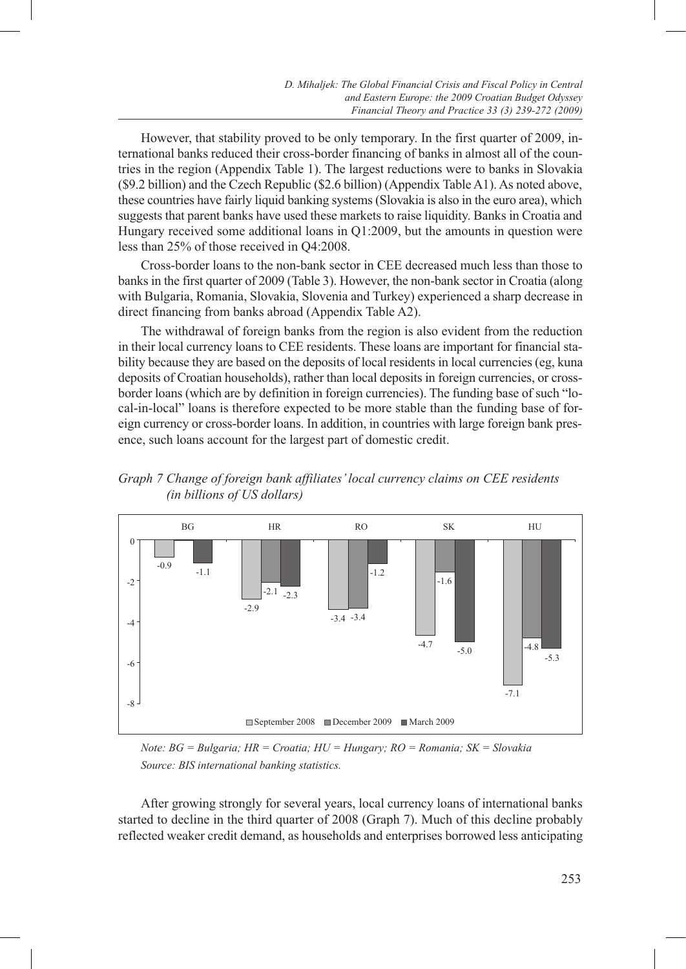However, that stability proved to be only temporary. In the first quarter of 2009, international banks reduced their cross-border financing of banks in almost all of the countries in the region (Appendix Table 1). The largest reductions were to banks in Slovakia (\$9.2 billion) and the Czech Republic (\$2.6 billion) (Appendix Table A1). As noted above, these countries have fairly liquid banking systems (Slovakia is also in the euro area), which suggests that parent banks have used these markets to raise liquidity. Banks in Croatia and Hungary received some additional loans in Q1:2009, but the amounts in question were less than 25% of those received in Q4:2008.

Cross-border loans to the non-bank sector in CEE decreased much less than those to banks in the first quarter of 2009 (Table 3). However, the non-bank sector in Croatia (along with Bulgaria, Romania, Slovakia, Slovenia and Turkey) experienced a sharp decrease in direct financing from banks abroad (Appendix Table A2).

The withdrawal of foreign banks from the region is also evident from the reduction in their local currency loans to CEE residents. These loans are important for financial stability because they are based on the deposits of local residents in local currencies (eg, kuna deposits of Croatian households), rather than local deposits in foreign currencies, or crossborder loans (which are by definition in foreign currencies). The funding base of such "local-in-local" loans is therefore expected to be more stable than the funding base of foreign currency or cross-border loans. In addition, in countries with large foreign bank presence, such loans account for the largest part of domestic credit.





*Note: BG = Bulgaria; HR = Croatia; HU = Hungary; RO = Romania; SK = Slovakia Source: BIS international banking statistics.*

After growing strongly for several years, local currency loans of international banks started to decline in the third quarter of 2008 (Graph 7). Much of this decline probably reflected weaker credit demand, as households and enterprises borrowed less anticipating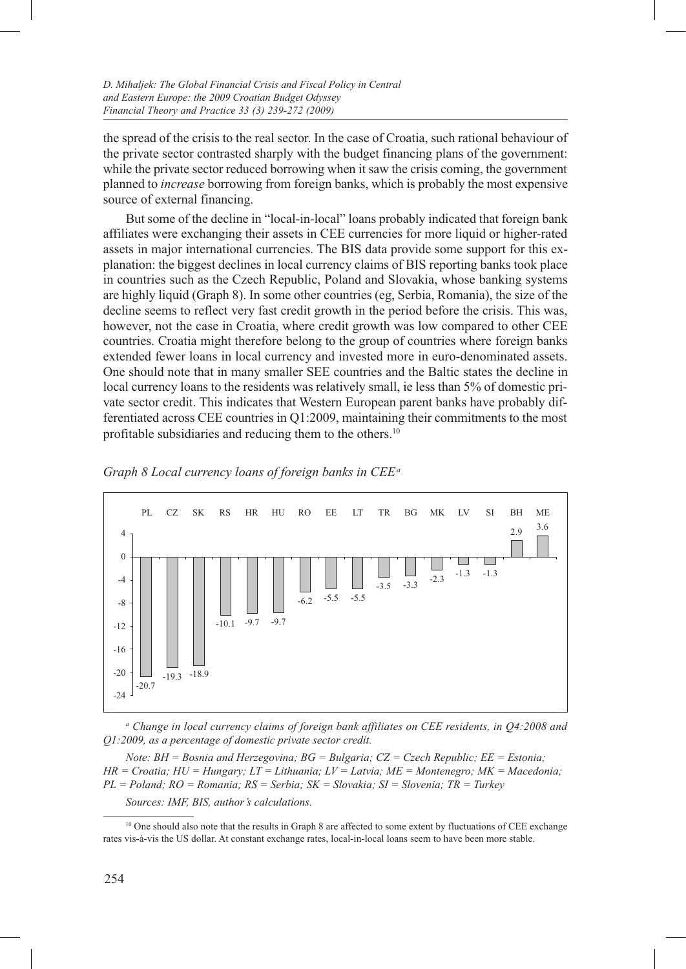the spread of the crisis to the real sector. In the case of Croatia, such rational behaviour of the private sector contrasted sharply with the budget financing plans of the government: while the private sector reduced borrowing when it saw the crisis coming, the government planned to *increase* borrowing from foreign banks, which is probably the most expensive source of external financing.

But some of the decline in "local-in-local" loans probably indicated that foreign bank affiliates were exchanging their assets in CEE currencies for more liquid or higher-rated assets in major international currencies. The BIS data provide some support for this explanation: the biggest declines in local currency claims of BIS reporting banks took place in countries such as the Czech Republic, Poland and Slovakia, whose banking systems are highly liquid (Graph 8). In some other countries (eg, Serbia, Romania), the size of the decline seems to reflect very fast credit growth in the period before the crisis. This was, however, not the case in Croatia, where credit growth was low compared to other CEE countries. Croatia might therefore belong to the group of countries where foreign banks extended fewer loans in local currency and invested more in euro-denominated assets. One should note that in many smaller SEE countries and the Baltic states the decline in local currency loans to the residents was relatively small, ie less than 5% of domestic private sector credit. This indicates that Western European parent banks have probably differentiated across CEE countries in Q1:2009, maintaining their commitments to the most profitable subsidiaries and reducing them to the others.10



*Graph 8 Local currency loans of foreign banks in CEE a*

<sup>a</sup> Change in local currency claims of foreign bank affiliates on CEE residents, in Q4:2008 and *Q1:2009, as a percentage of domestic private sector credit.* 

*Note: BH = Bosnia and Herzegovina; BG = Bulgaria; CZ = Czech Republic; EE = Estonia; HR = Croatia; HU = Hungary; LT = Lithuania; LV = Latvia; ME = Montenegro; MK = Macedonia; PL = Poland; RO = Romania; RS = Serbia; SK = Slovakia; SI = Slovenia; TR = Turkey Sources: IMF, BIS, author's calculations.*

<sup>&</sup>lt;sup>10</sup> One should also note that the results in Graph 8 are affected to some extent by fluctuations of CEE exchange rates vis-à-vis the US dollar. At constant exchange rates, local-in-local loans seem to have been more stable.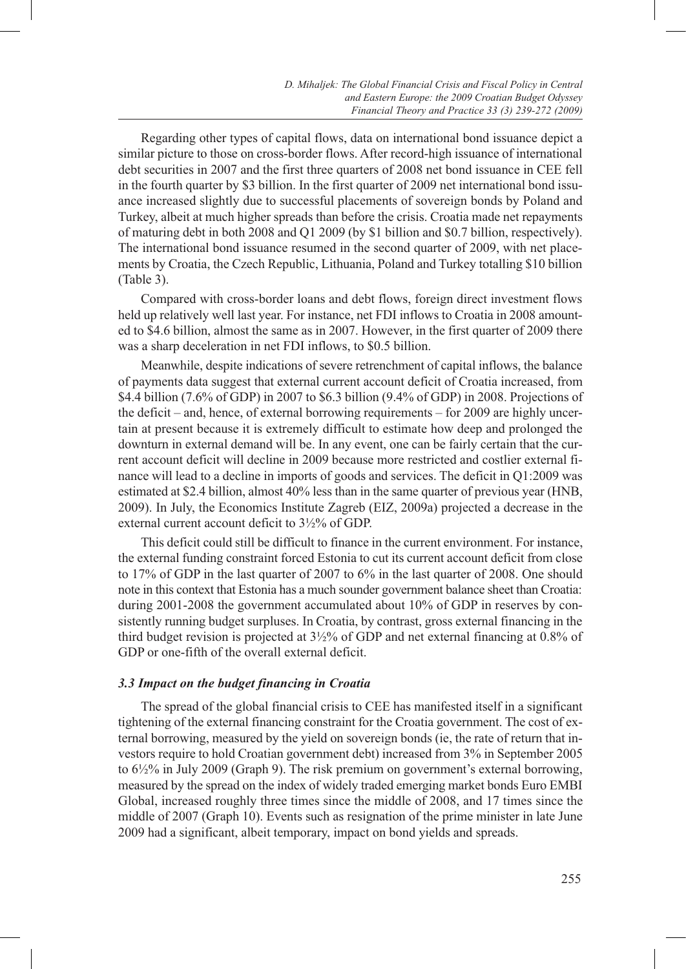Regarding other types of capital flows, data on international bond issuance depict a similar picture to those on cross-border flows. After record-high issuance of international debt securities in 2007 and the first three quarters of 2008 net bond issuance in CEE fell in the fourth quarter by \$3 billion. In the first quarter of 2009 net international bond issuance increased slightly due to successful placements of sovereign bonds by Poland and Turkey, albeit at much higher spreads than before the crisis. Croatia made net repayments of maturing debt in both 2008 and Q1 2009 (by \$1 billion and \$0.7 billion, respectively). The international bond issuance resumed in the second quarter of 2009, with net placements by Croatia, the Czech Republic, Lithuania, Poland and Turkey totalling \$10 billion (Table 3).

Compared with cross-border loans and debt flows, foreign direct investment flows held up relatively well last year. For instance, net FDI inflows to Croatia in 2008 amounted to \$4.6 billion, almost the same as in 2007. However, in the first quarter of 2009 there was a sharp deceleration in net FDI inflows, to \$0.5 billion.

Meanwhile, despite indications of severe retrenchment of capital inflows, the balance of payments data suggest that external current account deficit of Croatia increased, from \$4.4 billion (7.6% of GDP) in 2007 to \$6.3 billion (9.4% of GDP) in 2008. Projections of the deficit – and, hence, of external borrowing requirements – for 2009 are highly uncertain at present because it is extremely difficult to estimate how deep and prolonged the downturn in external demand will be. In any event, one can be fairly certain that the current account deficit will decline in 2009 because more restricted and costlier external finance will lead to a decline in imports of goods and services. The deficit in Q1:2009 was estimated at \$2.4 billion, almost 40% less than in the same quarter of previous year (HNB, 2009). In July, the Economics Institute Zagreb (EIZ, 2009a) projected a decrease in the external current account deficit to 3½% of GDP.

This deficit could still be difficult to finance in the current environment. For instance, the external funding constraint forced Estonia to cut its current account deficit from close to 17% of GDP in the last quarter of 2007 to 6% in the last quarter of 2008. One should note in this context that Estonia has a much sounder government balance sheet than Croatia: during 2001-2008 the government accumulated about 10% of GDP in reserves by consistently running budget surpluses. In Croatia, by contrast, gross external financing in the third budget revision is projected at 3½% of GDP and net external financing at 0.8% of GDP or one-fifth of the overall external deficit.

# *3.3 Impact on the budget financing in Croatia*

The spread of the global financial crisis to CEE has manifested itself in a significant tightening of the external financing constraint for the Croatia government. The cost of external borrowing, measured by the yield on sovereign bonds (ie, the rate of return that investors require to hold Croatian government debt) increased from 3% in September 2005 to 6½% in July 2009 (Graph 9). The risk premium on government's external borrowing, measured by the spread on the index of widely traded emerging market bonds Euro EMBI Global, increased roughly three times since the middle of 2008, and 17 times since the middle of 2007 (Graph 10). Events such as resignation of the prime minister in late June 2009 had a significant, albeit temporary, impact on bond yields and spreads.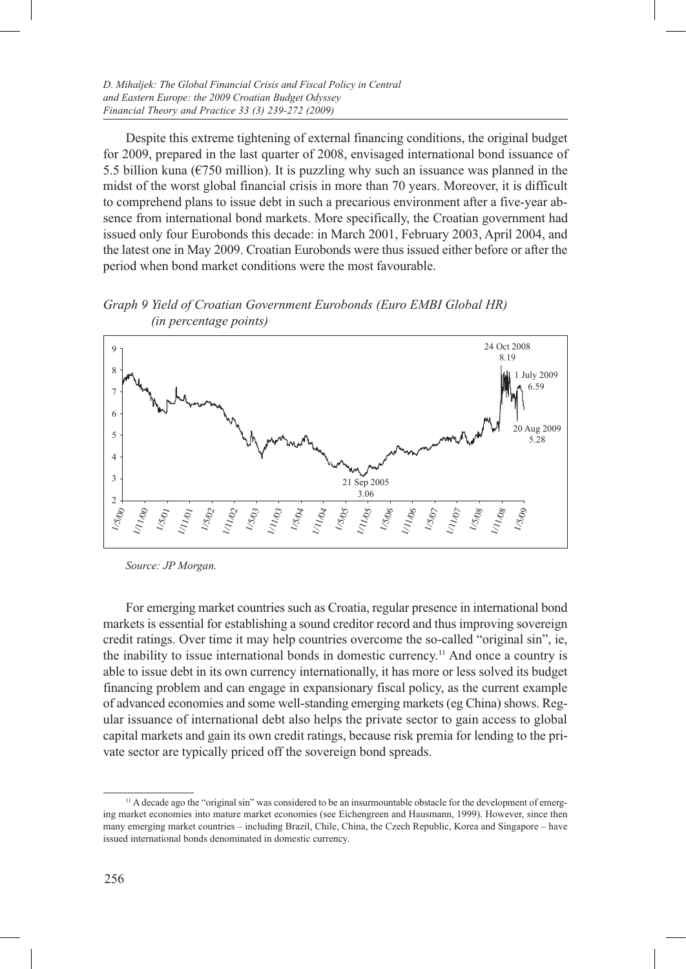Despite this extreme tightening of external financing conditions, the original budget for 2009, prepared in the last quarter of 2008, envisaged international bond issuance of 5.5 billion kuna ( $\epsilon$ 750 million). It is puzzling why such an issuance was planned in the midst of the worst global financial crisis in more than 70 years. Moreover, it is difficult to comprehend plans to issue debt in such a precarious environment after a five-year absence from international bond markets. More specifically, the Croatian government had issued only four Eurobonds this decade: in March 2001, February 2003, April 2004, and the latest one in May 2009. Croatian Eurobonds were thus issued either before or after the period when bond market conditions were the most favourable.

*Graph 9 Yield of Croatian Government Eurobonds (Euro EMBI Global HR) (in percentage points)*



*Source: JP Morgan.*

For emerging market countries such as Croatia, regular presence in international bond markets is essential for establishing a sound creditor record and thus improving sovereign credit ratings. Over time it may help countries overcome the so-called "original sin", ie, the inability to issue international bonds in domestic currency.11 And once a country is able to issue debt in its own currency internationally, it has more or less solved its budget financing problem and can engage in expansionary fiscal policy, as the current example of advanced economies and some well-standing emerging markets (eg China) shows. Regular issuance of international debt also helps the private sector to gain access to global capital markets and gain its own credit ratings, because risk premia for lending to the private sector are typically priced off the sovereign bond spreads.

<sup>&</sup>lt;sup>11</sup> A decade ago the "original sin" was considered to be an insurmountable obstacle for the development of emerging market economies into mature market economies (see Eichengreen and Hausmann, 1999). However, since then many emerging market countries – including Brazil, Chile, China, the Czech Republic, Korea and Singapore – have issued international bonds denominated in domestic currency.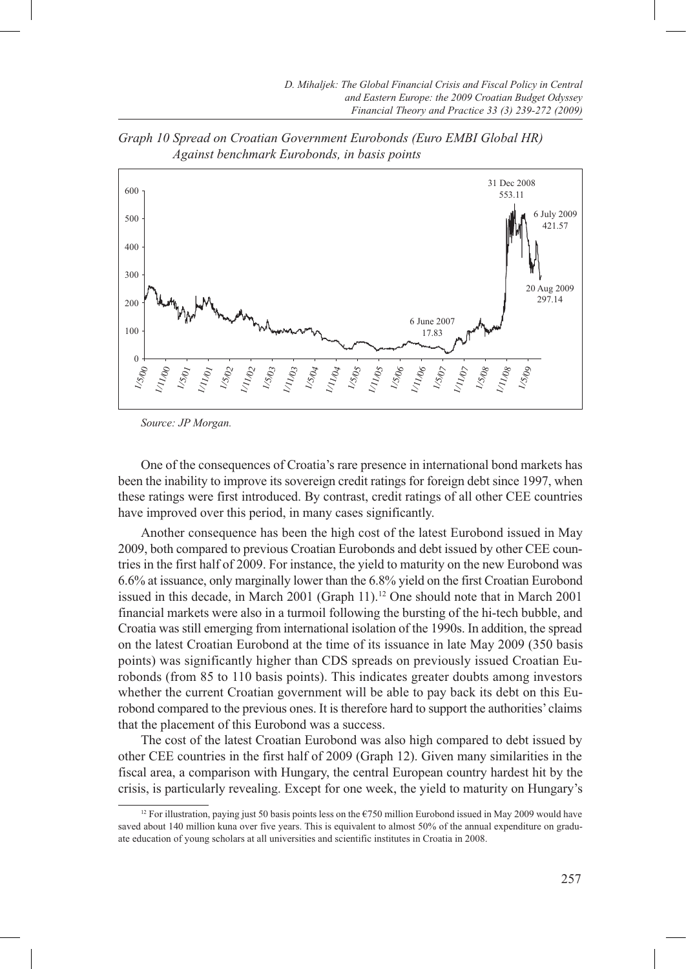

*Graph 10 Spread on Croatian Government Eurobonds (Euro EMBI Global HR) Against benchmark Eurobonds, in basis points*

*Source: JP Morgan.*

One of the consequences of Croatia's rare presence in international bond markets has been the inability to improve its sovereign credit ratings for foreign debt since 1997, when these ratings were first introduced. By contrast, credit ratings of all other CEE countries have improved over this period, in many cases significantly.

Another consequence has been the high cost of the latest Eurobond issued in May 2009, both compared to previous Croatian Eurobonds and debt issued by other CEE countries in the first half of 2009. For instance, the yield to maturity on the new Eurobond was 6.6% at issuance, only marginally lower than the 6.8% yield on the first Croatian Eurobond issued in this decade, in March 2001 (Graph 11).12 One should note that in March 2001 financial markets were also in a turmoil following the bursting of the hi-tech bubble, and Croatia was still emerging from international isolation of the 1990s. In addition, the spread on the latest Croatian Eurobond at the time of its issuance in late May 2009 (350 basis points) was significantly higher than CDS spreads on previously issued Croatian Eurobonds (from 85 to 110 basis points). This indicates greater doubts among investors whether the current Croatian government will be able to pay back its debt on this Eurobond compared to the previous ones. It is therefore hard to support the authorities' claims that the placement of this Eurobond was a success.

The cost of the latest Croatian Eurobond was also high compared to debt issued by other CEE countries in the first half of 2009 (Graph 12). Given many similarities in the fiscal area, a comparison with Hungary, the central European country hardest hit by the crisis, is particularly revealing. Except for one week, the yield to maturity on Hungary's

<sup>12</sup> For illustration, paying just 50 basis points less on the €750 million Eurobond issued in May 2009 would have saved about 140 million kuna over five years. This is equivalent to almost 50% of the annual expenditure on graduate education of young scholars at all universities and scientific institutes in Croatia in 2008.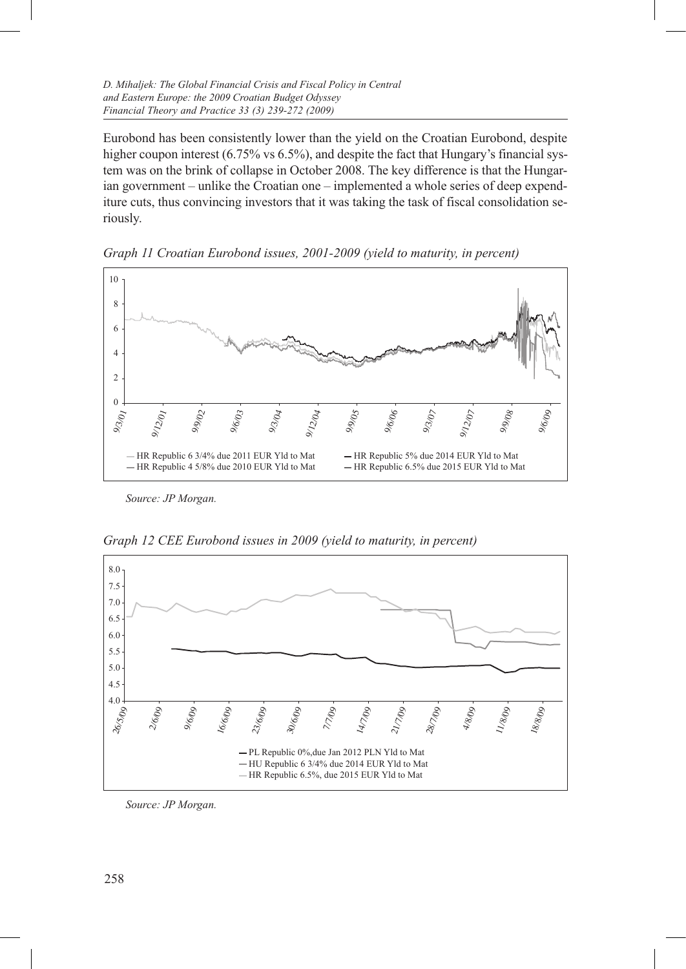*D. Mihaljek: The Global Financial Crisis and Fiscal Policy in Central and Eastern Europe: the 2009 Croatian Budget Odyssey Financial Theory and Practice 33 (3) 239-272 (2009)*

Eurobond has been consistently lower than the yield on the Croatian Eurobond, despite higher coupon interest (6.75% vs 6.5%), and despite the fact that Hungary's financial system was on the brink of collapse in October 2008. The key difference is that the Hungarian government – unlike the Croatian one – implemented a whole series of deep expenditure cuts, thus convincing investors that it was taking the task of fiscal consolidation seriously.



*Graph 11 Croatian Eurobond issues, 2001-2009 (yield to maturity, in percent)*

*Source: JP Morgan.*



*Graph 12 CEE Eurobond issues in 2009 (yield to maturity, in percent)*

*Source: JP Morgan.*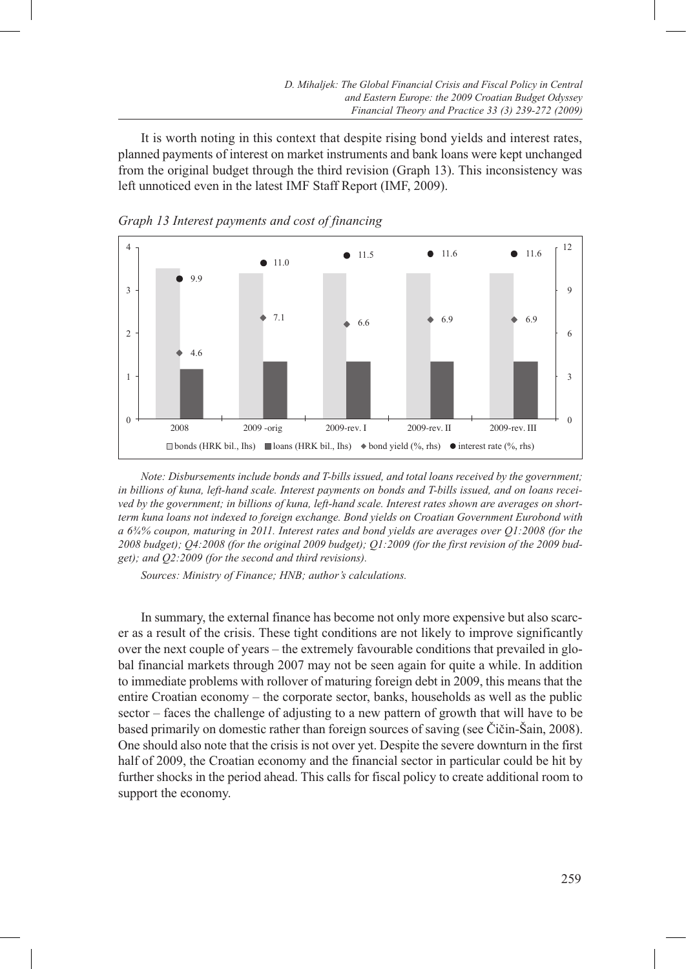It is worth noting in this context that despite rising bond yields and interest rates, planned payments of interest on market instruments and bank loans were kept unchanged from the original budget through the third revision (Graph 13). This inconsistency was left unnoticed even in the latest IMF Staff Report (IMF, 2009).





*Note: Disbursements include bonds and T-bills issued, and total loans received by the government; in billions of kuna, left-hand scale. Interest payments on bonds and T-bills issued, and on loans received by the government; in billions of kuna, left-hand scale. Interest rates shown are averages on shortterm kuna loans not indexed to foreign exchange. Bond yields on Croatian Government Eurobond with a 6¾% coupon, maturing in 2011. Interest rates and bond yields are averages over Q1:2008 (for the 2008 budget); Q4:2008 (for the original 2009 budget); Q1:2009 (for the first revision of the 2009 budget); and Q2:2009 (for the second and third revisions).*

*Sources: Ministry of Finance; HNB; author's calculations.*

In summary, the external finance has become not only more expensive but also scarcer as a result of the crisis. These tight conditions are not likely to improve significantly over the next couple of years – the extremely favourable conditions that prevailed in global financial markets through 2007 may not be seen again for quite a while. In addition to immediate problems with rollover of maturing foreign debt in 2009, this means that the entire Croatian economy – the corporate sector, banks, households as well as the public sector – faces the challenge of adjusting to a new pattern of growth that will have to be based primarily on domestic rather than foreign sources of saving (see Čičin-Šain, 2008). One should also note that the crisis is not over yet. Despite the severe downturn in the first half of 2009, the Croatian economy and the financial sector in particular could be hit by further shocks in the period ahead. This calls for fiscal policy to create additional room to support the economy.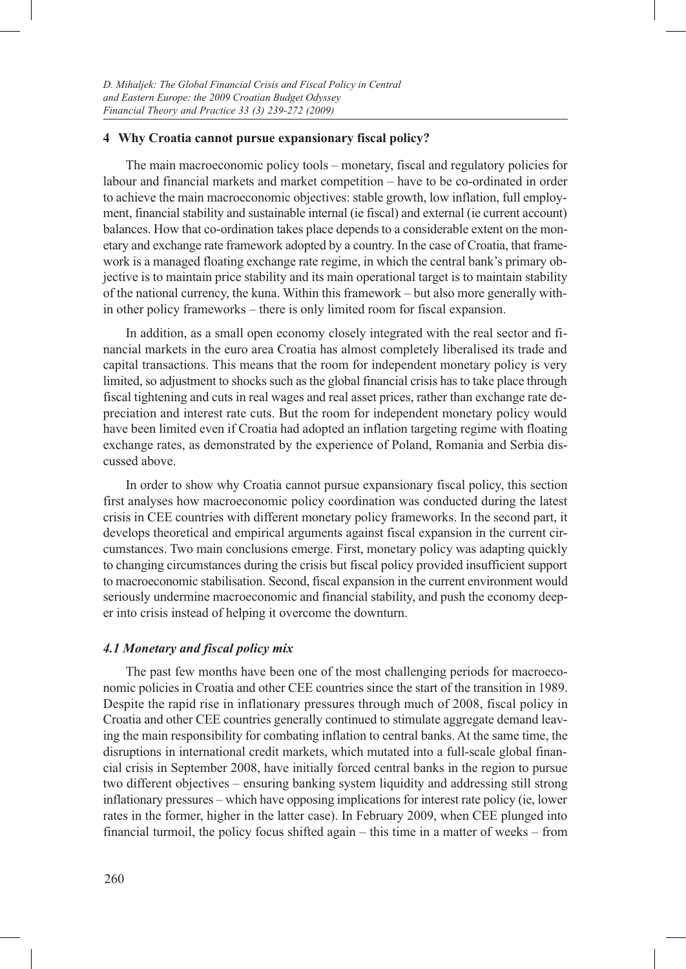#### **4 Why Croatia cannot pursue expansionary fiscal policy?**

The main macroeconomic policy tools – monetary, fiscal and regulatory policies for labour and financial markets and market competition – have to be co-ordinated in order to achieve the main macroeconomic objectives: stable growth, low inflation, full employment, financial stability and sustainable internal (ie fiscal) and external (ie current account) balances. How that co-ordination takes place depends to a considerable extent on the monetary and exchange rate framework adopted by a country. In the case of Croatia, that framework is a managed floating exchange rate regime, in which the central bank's primary objective is to maintain price stability and its main operational target is to maintain stability of the national currency, the kuna. Within this framework – but also more generally within other policy frameworks – there is only limited room for fiscal expansion.

In addition, as a small open economy closely integrated with the real sector and financial markets in the euro area Croatia has almost completely liberalised its trade and capital transactions. This means that the room for independent monetary policy is very limited, so adjustment to shocks such as the global financial crisis has to take place through fiscal tightening and cuts in real wages and real asset prices, rather than exchange rate depreciation and interest rate cuts. But the room for independent monetary policy would have been limited even if Croatia had adopted an inflation targeting regime with floating exchange rates, as demonstrated by the experience of Poland, Romania and Serbia discussed above.

In order to show why Croatia cannot pursue expansionary fiscal policy, this section first analyses how macroeconomic policy coordination was conducted during the latest crisis in CEE countries with different monetary policy frameworks. In the second part, it develops theoretical and empirical arguments against fiscal expansion in the current circumstances. Two main conclusions emerge. First, monetary policy was adapting quickly to changing circumstances during the crisis but fiscal policy provided insufficient support to macroeconomic stabilisation. Second, fiscal expansion in the current environment would seriously undermine macroeconomic and financial stability, and push the economy deeper into crisis instead of helping it overcome the downturn.

#### *4.1 Monetary and fiscal policy mix*

The past few months have been one of the most challenging periods for macroeconomic policies in Croatia and other CEE countries since the start of the transition in 1989. Despite the rapid rise in inflationary pressures through much of 2008, fiscal policy in Croatia and other CEE countries generally continued to stimulate aggregate demand leaving the main responsibility for combating inflation to central banks. At the same time, the disruptions in international credit markets, which mutated into a full-scale global financial crisis in September 2008, have initially forced central banks in the region to pursue two different objectives – ensuring banking system liquidity and addressing still strong inflationary pressures – which have opposing implications for interest rate policy (ie, lower rates in the former, higher in the latter case). In February 2009, when CEE plunged into financial turmoil, the policy focus shifted again – this time in a matter of weeks – from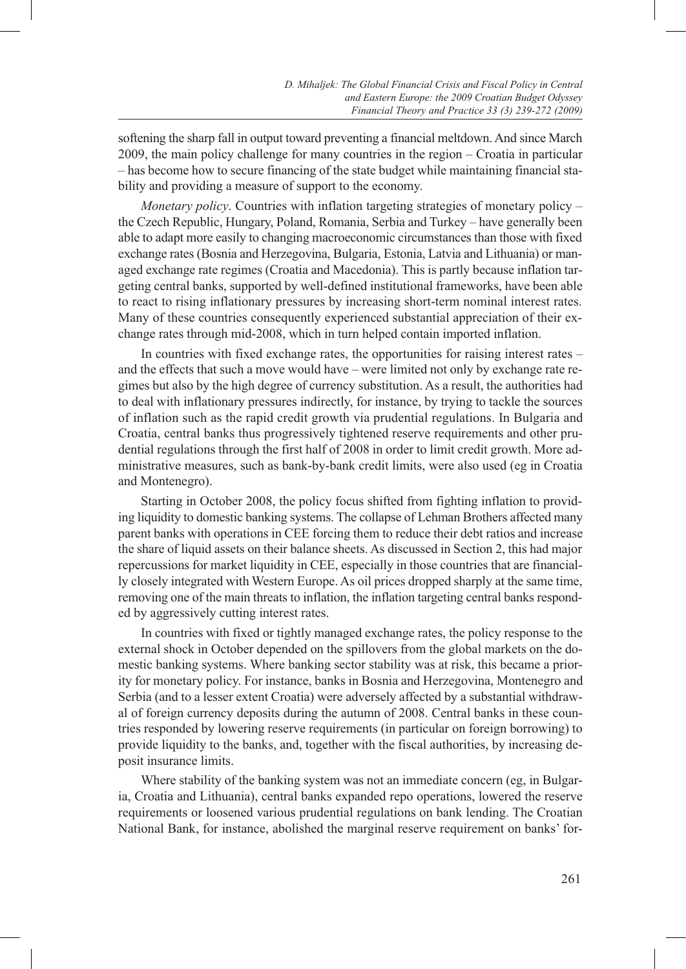softening the sharp fall in output toward preventing a financial meltdown. And since March 2009, the main policy challenge for many countries in the region – Croatia in particular – has become how to secure financing of the state budget while maintaining financial stability and providing a measure of support to the economy.

*Monetary policy*. Countries with inflation targeting strategies of monetary policy – the Czech Republic, Hungary, Poland, Romania, Serbia and Turkey – have generally been able to adapt more easily to changing macroeconomic circumstances than those with fixed exchange rates (Bosnia and Herzegovina, Bulgaria, Estonia, Latvia and Lithuania) or managed exchange rate regimes (Croatia and Macedonia). This is partly because inflation targeting central banks, supported by well-defined institutional frameworks, have been able to react to rising inflationary pressures by increasing short-term nominal interest rates. Many of these countries consequently experienced substantial appreciation of their exchange rates through mid-2008, which in turn helped contain imported inflation.

In countries with fixed exchange rates, the opportunities for raising interest rates – and the effects that such a move would have – were limited not only by exchange rate regimes but also by the high degree of currency substitution. As a result, the authorities had to deal with inflationary pressures indirectly, for instance, by trying to tackle the sources of inflation such as the rapid credit growth via prudential regulations. In Bulgaria and Croatia, central banks thus progressively tightened reserve requirements and other prudential regulations through the first half of 2008 in order to limit credit growth. More administrative measures, such as bank-by-bank credit limits, were also used (eg in Croatia and Montenegro).

Starting in October 2008, the policy focus shifted from fighting inflation to providing liquidity to domestic banking systems. The collapse of Lehman Brothers affected many parent banks with operations in CEE forcing them to reduce their debt ratios and increase the share of liquid assets on their balance sheets. As discussed in Section 2, this had major repercussions for market liquidity in CEE, especially in those countries that are financially closely integrated with Western Europe. As oil prices dropped sharply at the same time, removing one of the main threats to inflation, the inflation targeting central banks responded by aggressively cutting interest rates.

In countries with fixed or tightly managed exchange rates, the policy response to the external shock in October depended on the spillovers from the global markets on the domestic banking systems. Where banking sector stability was at risk, this became a priority for monetary policy. For instance, banks in Bosnia and Herzegovina, Montenegro and Serbia (and to a lesser extent Croatia) were adversely affected by a substantial withdrawal of foreign currency deposits during the autumn of 2008. Central banks in these countries responded by lowering reserve requirements (in particular on foreign borrowing) to provide liquidity to the banks, and, together with the fiscal authorities, by increasing deposit insurance limits.

Where stability of the banking system was not an immediate concern (eg, in Bulgaria, Croatia and Lithuania), central banks expanded repo operations, lowered the reserve requirements or loosened various prudential regulations on bank lending. The Croatian National Bank, for instance, abolished the marginal reserve requirement on banks' for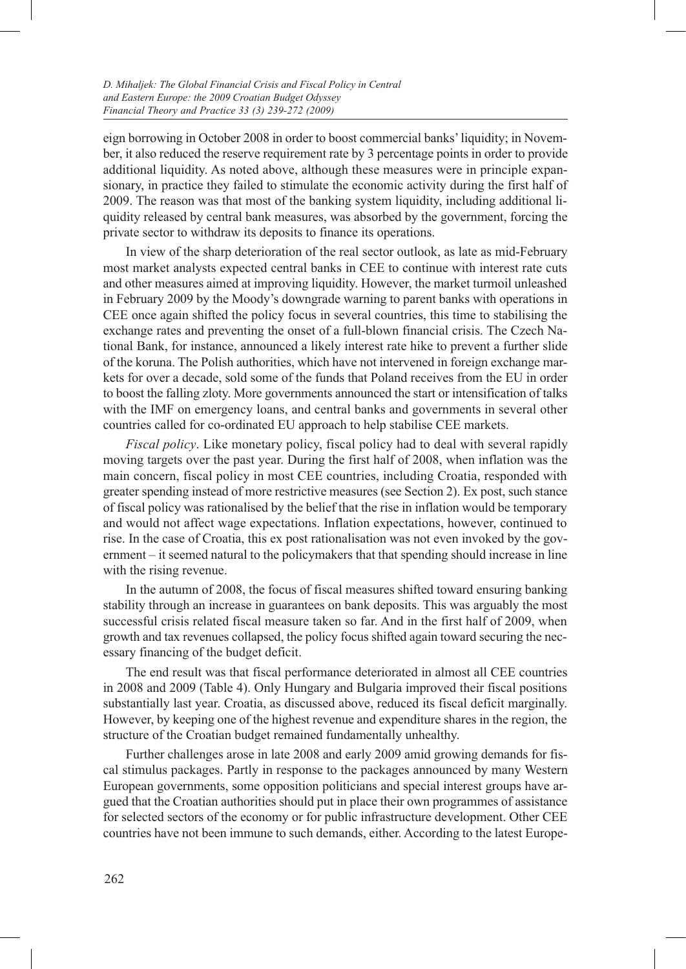eign borrowing in October 2008 in order to boost commercial banks' liquidity; in November, it also reduced the reserve requirement rate by 3 percentage points in order to provide additional liquidity. As noted above, although these measures were in principle expansionary, in practice they failed to stimulate the economic activity during the first half of 2009. The reason was that most of the banking system liquidity, including additional liquidity released by central bank measures, was absorbed by the government, forcing the private sector to withdraw its deposits to finance its operations.

In view of the sharp deterioration of the real sector outlook, as late as mid-February most market analysts expected central banks in CEE to continue with interest rate cuts and other measures aimed at improving liquidity. However, the market turmoil unleashed in February 2009 by the Moody's downgrade warning to parent banks with operations in CEE once again shifted the policy focus in several countries, this time to stabilising the exchange rates and preventing the onset of a full-blown financial crisis. The Czech National Bank, for instance, announced a likely interest rate hike to prevent a further slide of the koruna. The Polish authorities, which have not intervened in foreign exchange markets for over a decade, sold some of the funds that Poland receives from the EU in order to boost the falling zloty. More governments announced the start or intensification of talks with the IMF on emergency loans, and central banks and governments in several other countries called for co-ordinated EU approach to help stabilise CEE markets.

*Fiscal policy*. Like monetary policy, fiscal policy had to deal with several rapidly moving targets over the past year. During the first half of 2008, when inflation was the main concern, fiscal policy in most CEE countries, including Croatia, responded with greater spending instead of more restrictive measures (see Section 2). Ex post, such stance of fiscal policy was rationalised by the belief that the rise in inflation would be temporary and would not affect wage expectations. Inflation expectations, however, continued to rise. In the case of Croatia, this ex post rationalisation was not even invoked by the government – it seemed natural to the policymakers that that spending should increase in line with the rising revenue.

In the autumn of 2008, the focus of fiscal measures shifted toward ensuring banking stability through an increase in guarantees on bank deposits. This was arguably the most successful crisis related fiscal measure taken so far. And in the first half of 2009, when growth and tax revenues collapsed, the policy focus shifted again toward securing the necessary financing of the budget deficit.

The end result was that fiscal performance deteriorated in almost all CEE countries in 2008 and 2009 (Table 4). Only Hungary and Bulgaria improved their fiscal positions substantially last year. Croatia, as discussed above, reduced its fiscal deficit marginally. However, by keeping one of the highest revenue and expenditure shares in the region, the structure of the Croatian budget remained fundamentally unhealthy.

Further challenges arose in late 2008 and early 2009 amid growing demands for fiscal stimulus packages. Partly in response to the packages announced by many Western European governments, some opposition politicians and special interest groups have argued that the Croatian authorities should put in place their own programmes of assistance for selected sectors of the economy or for public infrastructure development. Other CEE countries have not been immune to such demands, either. According to the latest Europe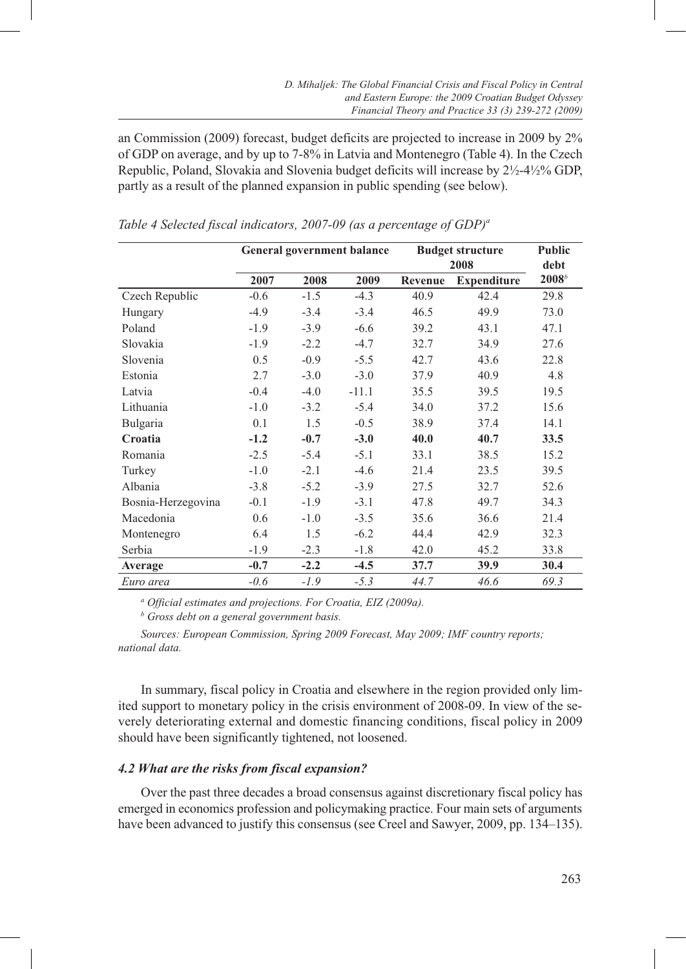an Commission (2009) forecast, budget deficits are projected to increase in 2009 by 2% of GDP on average, and by up to 7-8% in Latvia and Montenegro (Table 4). In the Czech Republic, Poland, Slovakia and Slovenia budget deficits will increase by 2½-4½% GDP, partly as a result of the planned expansion in public spending (see below).

|                    |        |        | <b>General government balance</b> | <b>Budget structure</b><br>2008 | <b>Public</b><br>debt |          |
|--------------------|--------|--------|-----------------------------------|---------------------------------|-----------------------|----------|
|                    | 2007   | 2008   | 2009                              | Revenue                         | <b>Expenditure</b>    | $2008^b$ |
| Czech Republic     | $-0.6$ | $-1.5$ | $-4.3$                            | 40.9                            | 42.4                  | 29.8     |
| Hungary            | $-4.9$ | $-3.4$ | $-3.4$                            | 46.5                            | 49.9                  | 73.0     |
| Poland             | $-1.9$ | $-3.9$ | $-6.6$                            | 39.2                            | 43.1                  | 47.1     |
| Slovakia           | $-1.9$ | $-2.2$ | $-4.7$                            | 32.7                            | 34.9                  | 27.6     |
| Slovenia           | 0.5    | $-0.9$ | $-5.5$                            | 42.7                            | 43.6                  | 22.8     |
| Estonia            | 2.7    | $-3.0$ | $-3.0$                            | 37.9                            | 40.9                  | 4.8      |
| Latvia             | $-0.4$ | $-4.0$ | $-11.1$                           | 35.5                            | 39.5                  | 19.5     |
| Lithuania          | $-1.0$ | $-3.2$ | $-5.4$                            | 34.0                            | 37.2                  | 15.6     |
| Bulgaria           | 0.1    | 1.5    | $-0.5$                            | 38.9                            | 37.4                  | 14.1     |
| Croatia            | $-1.2$ | $-0.7$ | $-3.0$                            | 40.0                            | 40.7                  | 33.5     |
| Romania            | $-2.5$ | $-5.4$ | $-5.1$                            | 33.1                            | 38.5                  | 15.2     |
| Turkey             | $-1.0$ | $-2.1$ | $-4.6$                            | 21.4                            | 23.5                  | 39.5     |
| Albania            | $-3.8$ | $-5.2$ | $-3.9$                            | 27.5                            | 32.7                  | 52.6     |
| Bosnia-Herzegovina | $-0.1$ | $-1.9$ | $-3.1$                            | 47.8                            | 49.7                  | 34.3     |
| Macedonia          | 0.6    | $-1.0$ | $-3.5$                            | 35.6                            | 36.6                  | 21.4     |
| Montenegro         | 6.4    | 1.5    | $-6.2$                            | 44.4                            | 42.9                  | 32.3     |
| Serbia             | $-1.9$ | $-2.3$ | $-1.8$                            | 42.0                            | 45.2                  | 33.8     |
| Average            | $-0.7$ | $-2.2$ | $-4.5$                            | 37.7                            | 39.9                  | 30.4     |
| Euro area          | $-0.6$ | $-1.9$ | $-5.3$                            | 44.7                            | 46.6                  | 69.3     |

*Table 4 Selected fiscal indicators, 2007-09 (as a percentage of GDP)a*

*a Official estimates and projections. For Croatia, EIZ (2009a).* 

*b Gross debt on a general government basis.* 

*Sources: European Commission, Spring 2009 Forecast, May 2009; IMF country reports; national data.*

In summary, fiscal policy in Croatia and elsewhere in the region provided only limited support to monetary policy in the crisis environment of 2008-09. In view of the severely deteriorating external and domestic financing conditions, fiscal policy in 2009 should have been significantly tightened, not loosened.

# *4.2 What are the risks from fiscal expansion?*

Over the past three decades a broad consensus against discretionary fiscal policy has emerged in economics profession and policymaking practice. Four main sets of arguments have been advanced to justify this consensus (see Creel and Sawyer, 2009, pp. 134–135).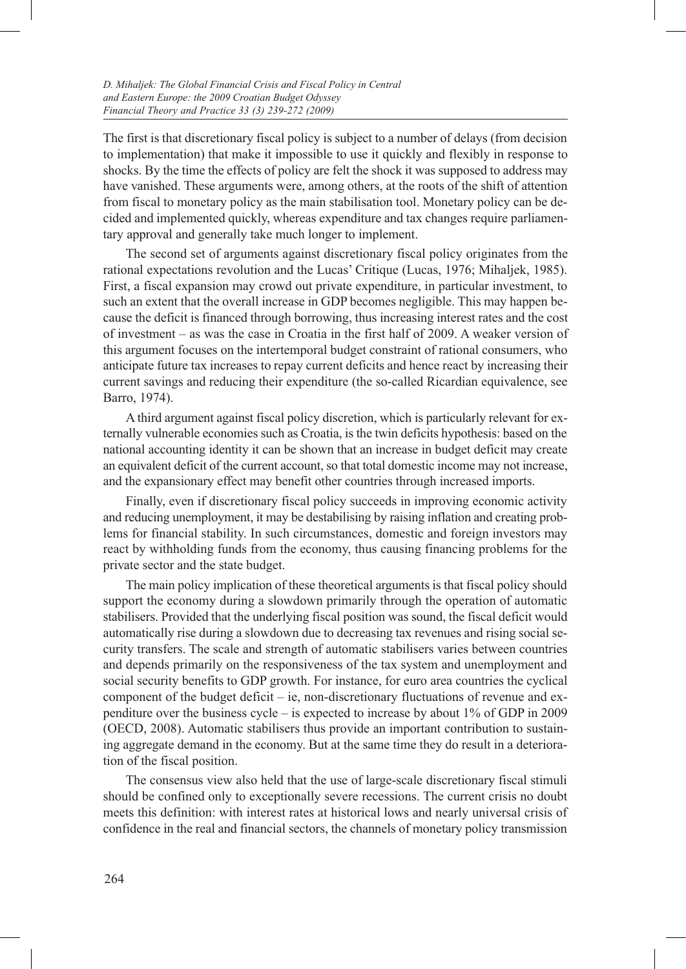The first is that discretionary fiscal policy is subject to a number of delays (from decision to implementation) that make it impossible to use it quickly and flexibly in response to shocks. By the time the effects of policy are felt the shock it was supposed to address may have vanished. These arguments were, among others, at the roots of the shift of attention from fiscal to monetary policy as the main stabilisation tool. Monetary policy can be decided and implemented quickly, whereas expenditure and tax changes require parliamentary approval and generally take much longer to implement.

The second set of arguments against discretionary fiscal policy originates from the rational expectations revolution and the Lucas' Critique (Lucas, 1976; Mihaljek, 1985). First, a fiscal expansion may crowd out private expenditure, in particular investment, to such an extent that the overall increase in GDP becomes negligible. This may happen because the deficit is financed through borrowing, thus increasing interest rates and the cost of investment – as was the case in Croatia in the first half of 2009. A weaker version of this argument focuses on the intertemporal budget constraint of rational consumers, who anticipate future tax increases to repay current deficits and hence react by increasing their current savings and reducing their expenditure (the so-called Ricardian equivalence, see Barro, 1974).

A third argument against fiscal policy discretion, which is particularly relevant for externally vulnerable economies such as Croatia, is the twin deficits hypothesis: based on the national accounting identity it can be shown that an increase in budget deficit may create an equivalent deficit of the current account, so that total domestic income may not increase, and the expansionary effect may benefit other countries through increased imports.

Finally, even if discretionary fiscal policy succeeds in improving economic activity and reducing unemployment, it may be destabilising by raising inflation and creating problems for financial stability. In such circumstances, domestic and foreign investors may react by withholding funds from the economy, thus causing financing problems for the private sector and the state budget.

The main policy implication of these theoretical arguments is that fiscal policy should support the economy during a slowdown primarily through the operation of automatic stabilisers. Provided that the underlying fiscal position was sound, the fiscal deficit would automatically rise during a slowdown due to decreasing tax revenues and rising social security transfers. The scale and strength of automatic stabilisers varies between countries and depends primarily on the responsiveness of the tax system and unemployment and social security benefits to GDP growth. For instance, for euro area countries the cyclical component of the budget deficit – ie, non-discretionary fluctuations of revenue and expenditure over the business cycle – is expected to increase by about 1% of GDP in 2009 (OECD, 2008). Automatic stabilisers thus provide an important contribution to sustaining aggregate demand in the economy. But at the same time they do result in a deterioration of the fiscal position.

The consensus view also held that the use of large-scale discretionary fiscal stimuli should be confined only to exceptionally severe recessions. The current crisis no doubt meets this definition: with interest rates at historical lows and nearly universal crisis of confidence in the real and financial sectors, the channels of monetary policy transmission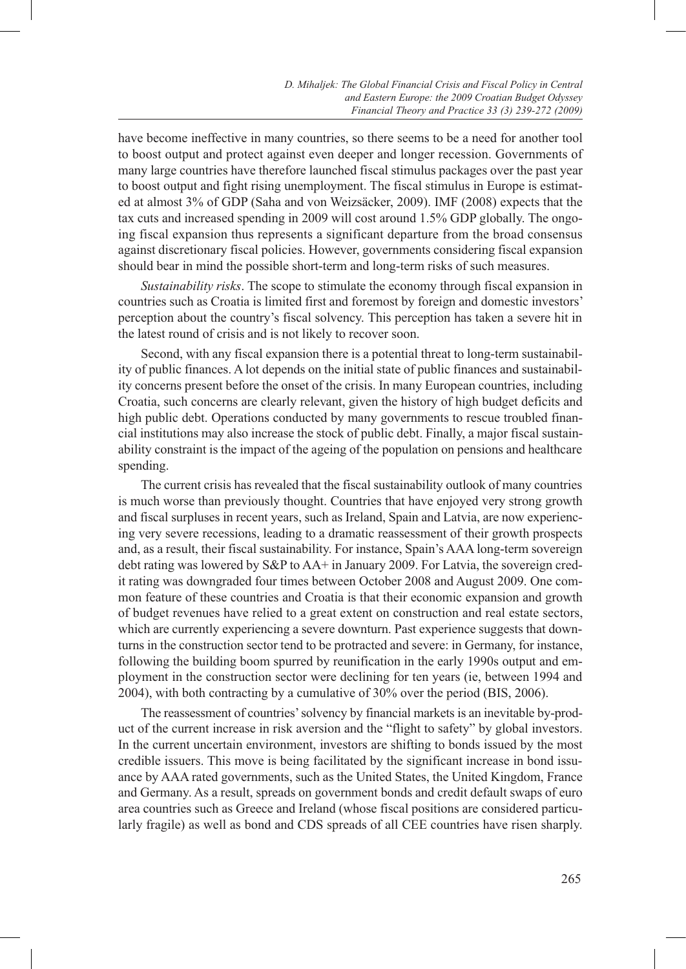have become ineffective in many countries, so there seems to be a need for another tool to boost output and protect against even deeper and longer recession. Governments of many large countries have therefore launched fiscal stimulus packages over the past year to boost output and fight rising unemployment. The fiscal stimulus in Europe is estimated at almost 3% of GDP (Saha and von Weizsäcker, 2009). IMF (2008) expects that the tax cuts and increased spending in 2009 will cost around 1.5% GDP globally. The ongoing fiscal expansion thus represents a significant departure from the broad consensus against discretionary fiscal policies. However, governments considering fiscal expansion should bear in mind the possible short-term and long-term risks of such measures.

*Sustainability risks*. The scope to stimulate the economy through fiscal expansion in countries such as Croatia is limited first and foremost by foreign and domestic investors' perception about the country's fiscal solvency. This perception has taken a severe hit in the latest round of crisis and is not likely to recover soon.

Second, with any fiscal expansion there is a potential threat to long-term sustainability of public finances. A lot depends on the initial state of public finances and sustainability concerns present before the onset of the crisis. In many European countries, including Croatia, such concerns are clearly relevant, given the history of high budget deficits and high public debt. Operations conducted by many governments to rescue troubled financial institutions may also increase the stock of public debt. Finally, a major fiscal sustainability constraint is the impact of the ageing of the population on pensions and healthcare spending.

The current crisis has revealed that the fiscal sustainability outlook of many countries is much worse than previously thought. Countries that have enjoyed very strong growth and fiscal surpluses in recent years, such as Ireland, Spain and Latvia, are now experiencing very severe recessions, leading to a dramatic reassessment of their growth prospects and, as a result, their fiscal sustainability. For instance, Spain's AAA long-term sovereign debt rating was lowered by S&P to AA+ in January 2009. For Latvia, the sovereign credit rating was downgraded four times between October 2008 and August 2009. One common feature of these countries and Croatia is that their economic expansion and growth of budget revenues have relied to a great extent on construction and real estate sectors, which are currently experiencing a severe downturn. Past experience suggests that downturns in the construction sector tend to be protracted and severe: in Germany, for instance, following the building boom spurred by reunification in the early 1990s output and employment in the construction sector were declining for ten years (ie, between 1994 and 2004), with both contracting by a cumulative of 30% over the period (BIS, 2006).

The reassessment of countries' solvency by financial markets is an inevitable by-product of the current increase in risk aversion and the "flight to safety" by global investors. In the current uncertain environment, investors are shifting to bonds issued by the most credible issuers. This move is being facilitated by the significant increase in bond issuance by AAA rated governments, such as the United States, the United Kingdom, France and Germany. As a result, spreads on government bonds and credit default swaps of euro area countries such as Greece and Ireland (whose fiscal positions are considered particularly fragile) as well as bond and CDS spreads of all CEE countries have risen sharply.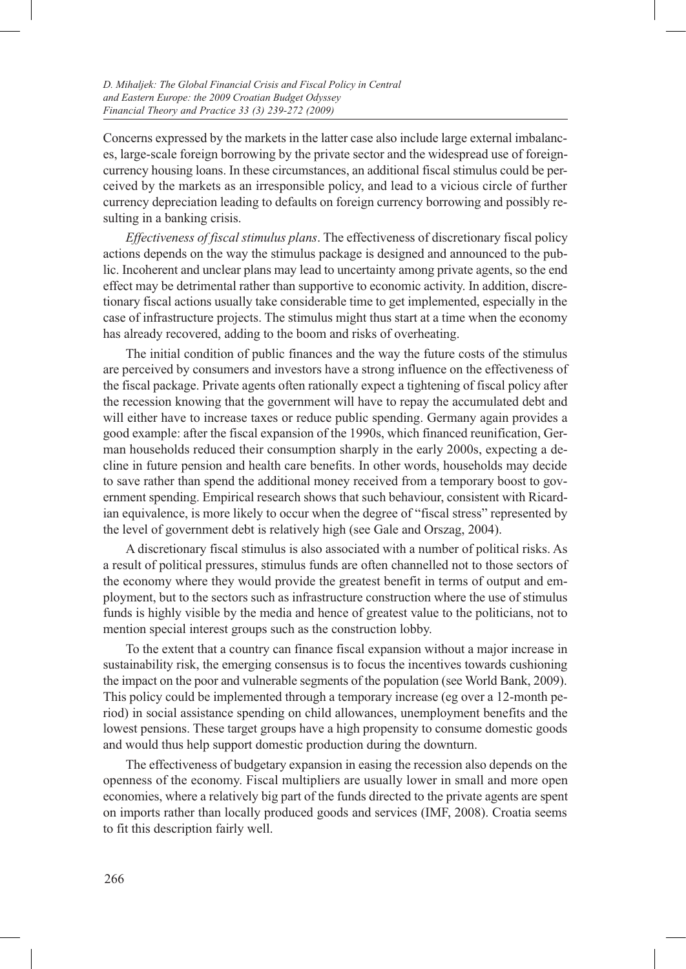Concerns expressed by the markets in the latter case also include large external imbalances, large-scale foreign borrowing by the private sector and the widespread use of foreigncurrency housing loans. In these circumstances, an additional fiscal stimulus could be perceived by the markets as an irresponsible policy, and lead to a vicious circle of further currency depreciation leading to defaults on foreign currency borrowing and possibly resulting in a banking crisis.

*Effectiveness of fiscal stimulus plans*. The effectiveness of discretionary fiscal policy actions depends on the way the stimulus package is designed and announced to the public. Incoherent and unclear plans may lead to uncertainty among private agents, so the end effect may be detrimental rather than supportive to economic activity. In addition, discretionary fiscal actions usually take considerable time to get implemented, especially in the case of infrastructure projects. The stimulus might thus start at a time when the economy has already recovered, adding to the boom and risks of overheating.

The initial condition of public finances and the way the future costs of the stimulus are perceived by consumers and investors have a strong influence on the effectiveness of the fiscal package. Private agents often rationally expect a tightening of fiscal policy after the recession knowing that the government will have to repay the accumulated debt and will either have to increase taxes or reduce public spending. Germany again provides a good example: after the fiscal expansion of the 1990s, which financed reunification, German households reduced their consumption sharply in the early 2000s, expecting a decline in future pension and health care benefits. In other words, households may decide to save rather than spend the additional money received from a temporary boost to government spending. Empirical research shows that such behaviour, consistent with Ricardian equivalence, is more likely to occur when the degree of "fiscal stress" represented by the level of government debt is relatively high (see Gale and Orszag, 2004).

A discretionary fiscal stimulus is also associated with a number of political risks. As a result of political pressures, stimulus funds are often channelled not to those sectors of the economy where they would provide the greatest benefit in terms of output and employment, but to the sectors such as infrastructure construction where the use of stimulus funds is highly visible by the media and hence of greatest value to the politicians, not to mention special interest groups such as the construction lobby.

To the extent that a country can finance fiscal expansion without a major increase in sustainability risk, the emerging consensus is to focus the incentives towards cushioning the impact on the poor and vulnerable segments of the population (see World Bank, 2009). This policy could be implemented through a temporary increase (eg over a 12-month period) in social assistance spending on child allowances, unemployment benefits and the lowest pensions. These target groups have a high propensity to consume domestic goods and would thus help support domestic production during the downturn.

The effectiveness of budgetary expansion in easing the recession also depends on the openness of the economy. Fiscal multipliers are usually lower in small and more open economies, where a relatively big part of the funds directed to the private agents are spent on imports rather than locally produced goods and services (IMF, 2008). Croatia seems to fit this description fairly well.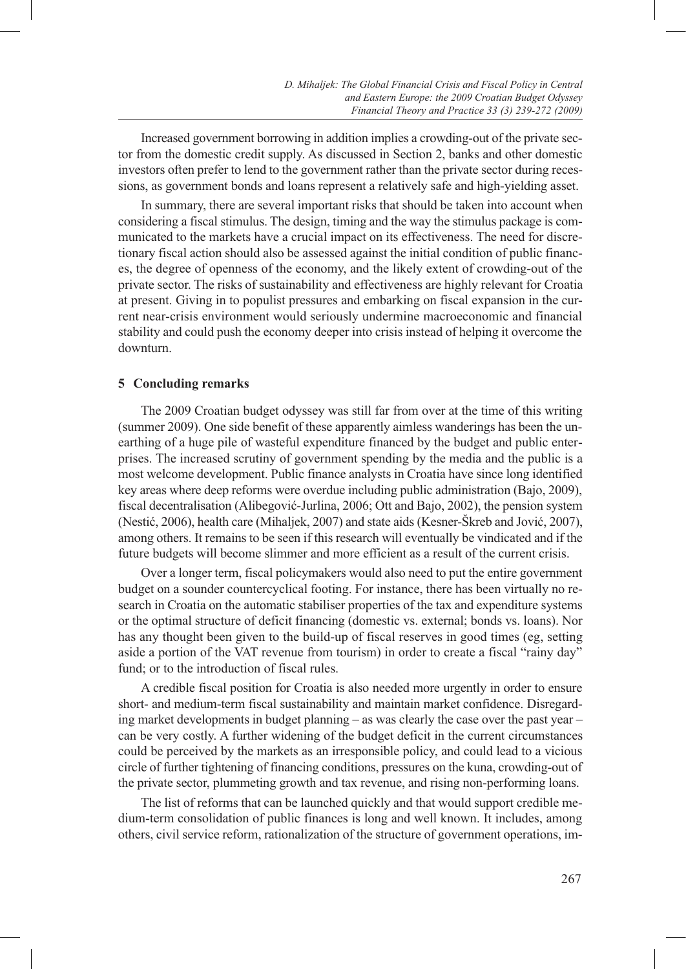Increased government borrowing in addition implies a crowding-out of the private sector from the domestic credit supply. As discussed in Section 2, banks and other domestic investors often prefer to lend to the government rather than the private sector during recessions, as government bonds and loans represent a relatively safe and high-yielding asset.

In summary, there are several important risks that should be taken into account when considering a fiscal stimulus. The design, timing and the way the stimulus package is communicated to the markets have a crucial impact on its effectiveness. The need for discretionary fiscal action should also be assessed against the initial condition of public finances, the degree of openness of the economy, and the likely extent of crowding-out of the private sector. The risks of sustainability and effectiveness are highly relevant for Croatia at present. Giving in to populist pressures and embarking on fiscal expansion in the current near-crisis environment would seriously undermine macroeconomic and financial stability and could push the economy deeper into crisis instead of helping it overcome the downturn.

#### **5 Concluding remarks**

The 2009 Croatian budget odyssey was still far from over at the time of this writing (summer 2009). One side benefit of these apparently aimless wanderings has been the unearthing of a huge pile of wasteful expenditure financed by the budget and public enterprises. The increased scrutiny of government spending by the media and the public is a most welcome development. Public finance analysts in Croatia have since long identified key areas where deep reforms were overdue including public administration (Bajo, 2009), fiscal decentralisation (Alibegović-Jurlina, 2006; Ott and Bajo, 2002), the pension system (Nestić, 2006), health care (Mihaljek, 2007) and state aids (Kesner-Škreb and Jović, 2007), among others. It remains to be seen if this research will eventually be vindicated and if the future budgets will become slimmer and more efficient as a result of the current crisis.

Over a longer term, fiscal policymakers would also need to put the entire government budget on a sounder countercyclical footing. For instance, there has been virtually no research in Croatia on the automatic stabiliser properties of the tax and expenditure systems or the optimal structure of deficit financing (domestic vs. external; bonds vs. loans). Nor has any thought been given to the build-up of fiscal reserves in good times (eg, setting aside a portion of the VAT revenue from tourism) in order to create a fiscal "rainy day" fund; or to the introduction of fiscal rules.

A credible fiscal position for Croatia is also needed more urgently in order to ensure short- and medium-term fiscal sustainability and maintain market confidence. Disregarding market developments in budget planning – as was clearly the case over the past year – can be very costly. A further widening of the budget deficit in the current circumstances could be perceived by the markets as an irresponsible policy, and could lead to a vicious circle of further tightening of financing conditions, pressures on the kuna, crowding-out of the private sector, plummeting growth and tax revenue, and rising non-performing loans.

The list of reforms that can be launched quickly and that would support credible medium-term consolidation of public finances is long and well known. It includes, among others, civil service reform, rationalization of the structure of government operations, im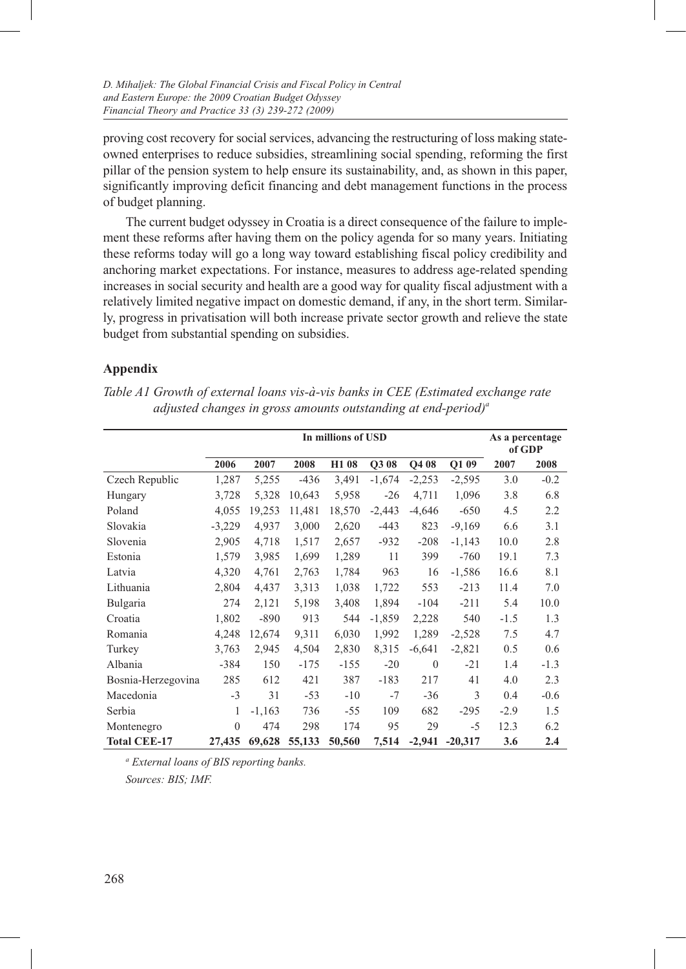proving cost recovery for social services, advancing the restructuring of loss making stateowned enterprises to reduce subsidies, streamlining social spending, reforming the first pillar of the pension system to help ensure its sustainability, and, as shown in this paper, significantly improving deficit financing and debt management functions in the process of budget planning.

The current budget odyssey in Croatia is a direct consequence of the failure to implement these reforms after having them on the policy agenda for so many years. Initiating these reforms today will go a long way toward establishing fiscal policy credibility and anchoring market expectations. For instance, measures to address age-related spending increases in social security and health are a good way for quality fiscal adjustment with a relatively limited negative impact on domestic demand, if any, in the short term. Similarly, progress in privatisation will both increase private sector growth and relieve the state budget from substantial spending on subsidies.

# **Appendix**

|                     |              |          |        | In millions of USD |          |          |           |        | As a percentage |
|---------------------|--------------|----------|--------|--------------------|----------|----------|-----------|--------|-----------------|
|                     |              |          |        |                    |          |          |           | of GDP |                 |
|                     | 2006         | 2007     | 2008   | H1 08              | Q3 08    | Q4 08    | Q1 09     | 2007   | 2008            |
| Czech Republic      | 1,287        | 5,255    | $-436$ | 3,491              | $-1,674$ | $-2,253$ | $-2,595$  | 3.0    | $-0.2$          |
| Hungary             | 3,728        | 5,328    | 10,643 | 5,958              | $-26$    | 4,711    | 1,096     | 3.8    | 6.8             |
| Poland              | 4,055        | 19,253   | 11,481 | 18,570             | $-2,443$ | $-4,646$ | $-650$    | 4.5    | 2.2             |
| Slovakia            | $-3,229$     | 4,937    | 3,000  | 2,620              | $-443$   | 823      | $-9,169$  | 6.6    | 3.1             |
| Slovenia            | 2,905        | 4,718    | 1,517  | 2,657              | $-932$   | $-208$   | $-1,143$  | 10.0   | 2.8             |
| Estonia             | 1,579        | 3,985    | 1,699  | 1,289              | 11       | 399      | $-760$    | 19.1   | 7.3             |
| Latvia              | 4,320        | 4,761    | 2,763  | 1,784              | 963      | 16       | $-1,586$  | 16.6   | 8.1             |
| Lithuania           | 2,804        | 4,437    | 3,313  | 1,038              | 1,722    | 553      | $-213$    | 11.4   | 7.0             |
| Bulgaria            | 274          | 2,121    | 5,198  | 3,408              | 1,894    | $-104$   | $-211$    | 5.4    | 10.0            |
| Croatia             | 1,802        | $-890$   | 913    | 544                | $-1,859$ | 2,228    | 540       | $-1.5$ | 1.3             |
| Romania             | 4,248        | 12,674   | 9,311  | 6,030              | 1,992    | 1,289    | $-2,528$  | 7.5    | 4.7             |
| Turkey              | 3,763        | 2,945    | 4,504  | 2,830              | 8,315    | $-6,641$ | $-2,821$  | 0.5    | 0.6             |
| Albania             | $-384$       | 150      | $-175$ | $-155$             | $-20$    | $\Omega$ | $-21$     | 1.4    | $-1.3$          |
| Bosnia-Herzegovina  | 285          | 612      | 421    | 387                | $-183$   | 217      | 41        | 4.0    | 2.3             |
| Macedonia           | $-3$         | 31       | $-53$  | $-10$              | $-7$     | $-36$    | 3         | 0.4    | $-0.6$          |
| Serbia              | 1            | $-1,163$ | 736    | -55                | 109      | 682      | $-295$    | $-2.9$ | 1.5             |
| Montenegro          | $\mathbf{0}$ | 474      | 298    | 174                | 95       | 29       | -5        | 12.3   | 6.2             |
| <b>Total CEE-17</b> | 27,435       | 69,628   | 55,133 | 50,560             | 7,514    | $-2,941$ | $-20,317$ | 3.6    | 2.4             |

*Table A1 Growth of external loans vis-à-vis banks in CEE (Estimated exchange rate adjusted changes in gross amounts outstanding at end-period*)<sup>*a*</sup>

*a External loans of BIS reporting banks. Sources: BIS; IMF.*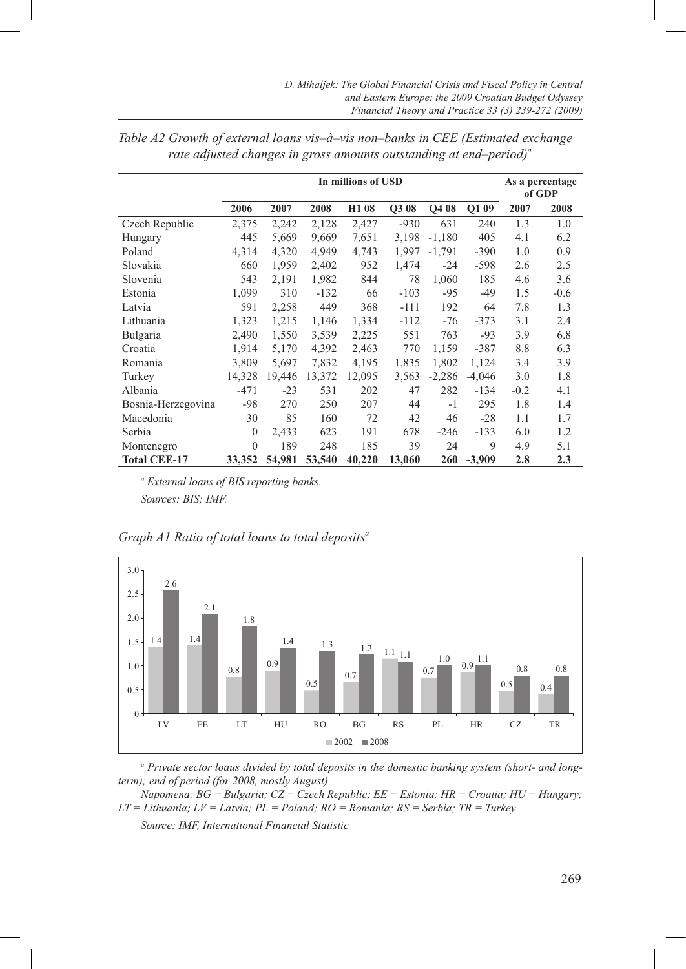|                     | In millions of USD |        |        |                   |        |          |          | As a percentage<br>of GDP |        |
|---------------------|--------------------|--------|--------|-------------------|--------|----------|----------|---------------------------|--------|
|                     | 2006               | 2007   | 2008   | H <sub>1</sub> 08 | Q3 08  | Q4 08    | Q1 09    | 2007                      | 2008   |
| Czech Republic      | 2,375              | 2,242  | 2,128  | 2,427             | $-930$ | 631      | 240      | 1.3                       | 1.0    |
| Hungary             | 445                | 5,669  | 9,669  | 7,651             | 3,198  | $-1,180$ | 405      | 4.1                       | 6.2    |
| Poland              | 4,314              | 4,320  | 4,949  | 4,743             | 1,997  | $-1,791$ | $-390$   | 1.0                       | 0.9    |
| Slovakia            | 660                | 1,959  | 2,402  | 952               | 1,474  | $-24$    | $-598$   | 2.6                       | 2.5    |
| Slovenia            | 543                | 2,191  | 1,982  | 844               | 78     | 1,060    | 185      | 4.6                       | 3.6    |
| Estonia             | 1,099              | 310    | $-132$ | 66                | $-103$ | $-95$    | $-49$    | 1.5                       | $-0.6$ |
| Latvia              | 591                | 2,258  | 449    | 368               | $-111$ | 192      | 64       | 7.8                       | 1.3    |
| Lithuania           | 1,323              | 1,215  | 1,146  | 1,334             | $-112$ | $-76$    | $-373$   | 3.1                       | 2.4    |
| Bulgaria            | 2,490              | 1,550  | 3,539  | 2,225             | 551    | 763      | $-93$    | 3.9                       | 6.8    |
| Croatia             | 1,914              | 5,170  | 4,392  | 2,463             | 770    | 1,159    | $-387$   | 8.8                       | 6.3    |
| Romania             | 3,809              | 5,697  | 7,832  | 4,195             | 1,835  | 1,802    | 1,124    | 3.4                       | 3.9    |
| Turkey              | 14,328             | 19,446 | 13,372 | 12,095            | 3,563  | $-2,286$ | $-4,046$ | 3.0                       | 1.8    |
| Albania             | $-471$             | $-23$  | 531    | 202               | 47     | 282      | $-134$   | $-0.2$                    | 4.1    |
| Bosnia-Herzegovina  | $-98$              | 270    | 250    | 207               | 44     | $-1$     | 295      | 1.8                       | 1.4    |
| Macedonia           | 30                 | 85     | 160    | 72                | 42     | 46       | $-28$    | 1.1                       | 1.7    |
| Serbia              | $\mathbf{0}$       | 2,433  | 623    | 191               | 678    | $-246$   | $-133$   | 6.0                       | 1.2    |
| Montenegro          | $\mathbf{0}$       | 189    | 248    | 185               | 39     | 24       | 9        | 4.9                       | 5.1    |
| <b>Total CEE-17</b> | 33,352             | 54,981 | 53,540 | 40,220            | 13,060 | 260      | $-3,909$ | 2.8                       | 2.3    |

| Table A2 Growth of external loans vis-à-vis non-banks in CEE (Estimated exchange |
|----------------------------------------------------------------------------------|
| rate adjusted changes in gross amounts outstanding at end-period) <sup>a</sup>   |

*a External loans of BIS reporting banks. Sources: BIS; IMF.*



a Private sector loaus divided by total deposits in the domestic banking system (short- and long*term); end of period (for 2008, mostly August)*

*Napomena: BG = Bulgaria; CZ = Czech Republic; EE = Estonia; HR = Croatia; HU = Hungary; LT = Lithuania; LV = Latvia; PL = Poland; RO = Romania; RS = Serbia; TR = Turkey*

*Source: IMF, International Financial Statistic*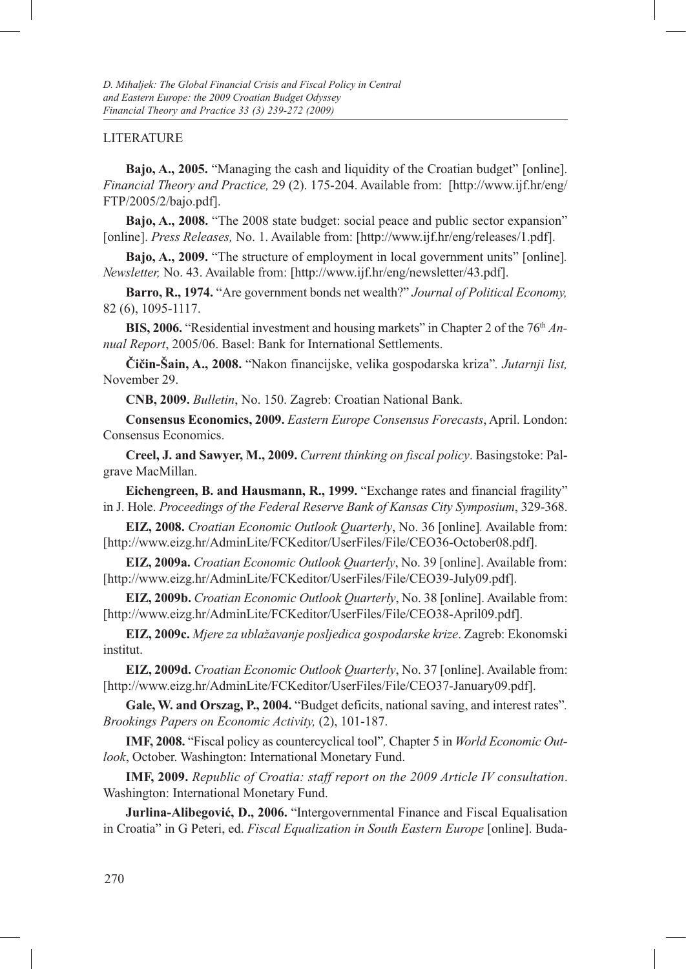#### LITERATURE

**Bajo, A., 2005.** "Managing the cash and liquidity of the Croatian budget" [online]. *Financial Theory and Practice,* 29 (2). 175-204. Available from: [http://www.ijf.hr/eng/ FTP/2005/2/bajo.pdf].

**Bajo, A., 2008.** "The 2008 state budget: social peace and public sector expansion" [online]. *Press Releases,* No. 1. Available from: [http://www.ijf.hr/eng/releases/1.pdf].

**Bajo, A., 2009.** "The structure of employment in local government units" [online]*. Newsletter,* No. 43. Available from: [http://www.ijf.hr/eng/newsletter/43.pdf].

**Barro, R., 1974.** "Are government bonds net wealth?" *Journal of Political Economy,* 82 (6), 1095-1117.

**BIS, 2006.** "Residential investment and housing markets" in Chapter 2 of the 76<sup>th</sup> *Annual Report*, 2005/06. Basel: Bank for International Settlements.

**Čičin-Šain, A., 2008.** "Nakon financijske, velika gospodarska kriza"*. Jutarnji list,* November 29.

**CNB, 2009.** *Bulletin*, No. 150. Zagreb: Croatian National Bank.

**Consensus Economics, 2009.** *Eastern Europe Consensus Forecasts*, April. London: Consensus Economics.

**Creel, J. and Sawyer, M., 2009.** *Current thinking on fiscal policy*. Basingstoke: Palgrave MacMillan.

**Eichengreen, B. and Hausmann, R., 1999.** "Exchange rates and financial fragility" in J. Hole. *Proceedings of the Federal Reserve Bank of Kansas City Symposium*, 329-368.

**EIZ, 2008.** *Croatian Economic Outlook Quarterly*, No. 36 [online]*.* Available from: [http://www.eizg.hr/AdminLite/FCKeditor/UserFiles/File/CEO36-October08.pdf].

**EIZ, 2009a.** *Croatian Economic Outlook Quarterly*, No. 39 [online]. Available from: [http://www.eizg.hr/AdminLite/FCKeditor/UserFiles/File/CEO39-July09.pdf].

**EIZ, 2009b.** *Croatian Economic Outlook Quarterly*, No. 38 [online]. Available from: [http://www.eizg.hr/AdminLite/FCKeditor/UserFiles/File/CEO38-April09.pdf].

**EIZ, 2009c.** *Mjere za ublažavanje posljedica gospodarske krize*. Zagreb: Ekonomski institut.

**EIZ, 2009d.** *Croatian Economic Outlook Quarterly*, No. 37 [online]. Available from: [http://www.eizg.hr/AdminLite/FCKeditor/UserFiles/File/CEO37-January09.pdf].

**Gale, W. and Orszag, P., 2004.** "Budget deficits, national saving, and interest rates"*. Brookings Papers on Economic Activity,* (2), 101-187.

**IMF, 2008.** "Fiscal policy as countercyclical tool"*,* Chapter 5 in *World Economic Outlook*, October. Washington: International Monetary Fund.

**IMF, 2009.** *Republic of Croatia: staff report on the 2009 Article IV consultation*. Washington: International Monetary Fund.

**Jurlina-Alibegović, D., 2006.** "Intergovernmental Finance and Fiscal Equalisation in Croatia" in G Peteri, ed. *Fiscal Equalization in South Eastern Europe* [online]. Buda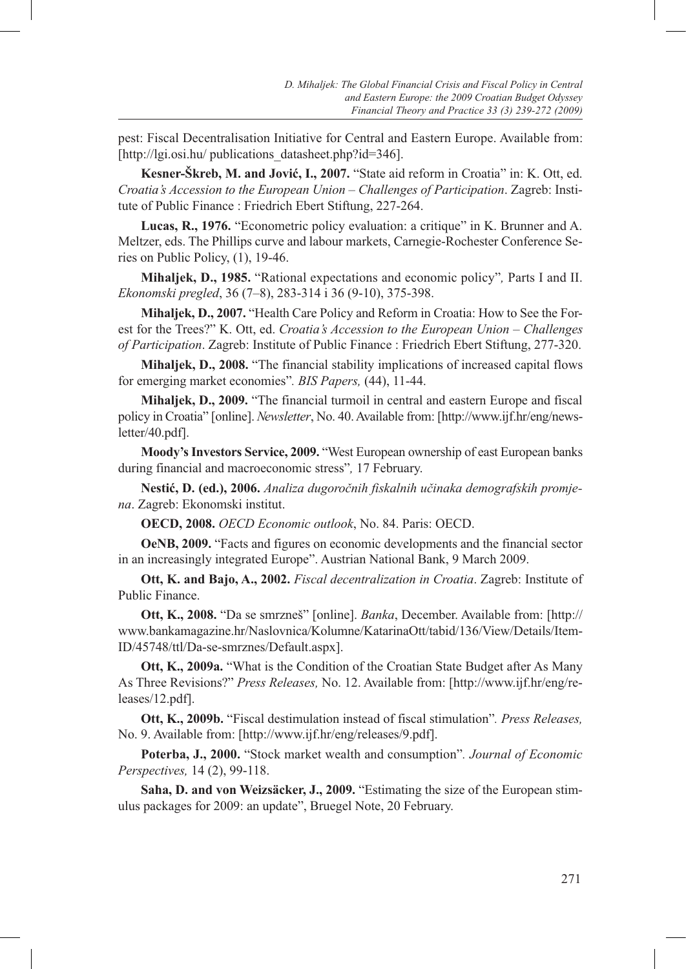pest: Fiscal Decentralisation Initiative for Central and Eastern Europe. Available from: [http://lgi.osi.hu/ publications\_datasheet.php?id=346].

**Kesner-Škreb, M. and Jović, I., 2007.** "State aid reform in Croatia" in: K. Ott, ed. *Croatia's Accession to the European Union – Challenges of Participation*. Zagreb: Institute of Public Finance : Friedrich Ebert Stiftung, 227-264.

**Lucas, R., 1976.** "Econometric policy evaluation: a critique" in K. Brunner and A. Meltzer, eds. The Phillips curve and labour markets, Carnegie-Rochester Conference Series on Public Policy, (1), 19-46.

**Mihaljek, D., 1985.** "Rational expectations and economic policy"*,* Parts I and II. *Ekonomski pregled*, 36 (7–8), 283-314 i 36 (9-10), 375-398.

**Mihaljek, D., 2007.** "Health Care Policy and Reform in Croatia: How to See the Forest for the Trees?" K. Ott, ed. *Croatia's Accession to the European Union – Challenges of Participation*. Zagreb: Institute of Public Finance : Friedrich Ebert Stiftung, 277-320.

**Mihaljek, D., 2008.** "The financial stability implications of increased capital flows for emerging market economies"*. BIS Papers,* (44), 11-44.

**Mihaljek, D., 2009.** "The financial turmoil in central and eastern Europe and fiscal policy in Croatia" [online]. *Newsletter*, No. 40. Available from: [http://www.ijf.hr/eng/newsletter/40.pdf].

**Moody's Investors Service, 2009.** "West European ownership of east European banks during financial and macroeconomic stress"*,* 17 February.

**Nestić, D. (ed.), 2006.** *Analiza dugoročnih fiskalnih učinaka demografskih promjena*. Zagreb: Ekonomski institut.

**OECD, 2008.** *OECD Economic outlook*, No. 84. Paris: OECD.

**OeNB, 2009.** "Facts and figures on economic developments and the financial sector in an increasingly integrated Europe". Austrian National Bank, 9 March 2009.

**Ott, K. and Bajo, A., 2002.** *Fiscal decentralization in Croatia*. Zagreb: Institute of Public Finance.

**Ott, K., 2008.** "Da se smrzneš" [online]. *Banka*, December. Available from: [http:// www.bankamagazine.hr/Naslovnica/Kolumne/KatarinaOtt/tabid/136/View/Details/Item-ID/45748/ttl/Da-se-smrznes/Default.aspx].

**Ott, K., 2009a.** "What is the Condition of the Croatian State Budget after As Many As Three Revisions?" *Press Releases,* No. 12. Available from: [http://www.ijf.hr/eng/releases/12.pdf].

**Ott, K., 2009b.** "Fiscal destimulation instead of fiscal stimulation"*. Press Releases,* No. 9. Available from: [http://www.ijf.hr/eng/releases/9.pdf].

**Poterba, J., 2000.** "Stock market wealth and consumption"*. Journal of Economic Perspectives,* 14 (2), 99-118.

**Saha, D. and von Weizsäcker, J., 2009.** "Estimating the size of the European stimulus packages for 2009: an update", Bruegel Note, 20 February.